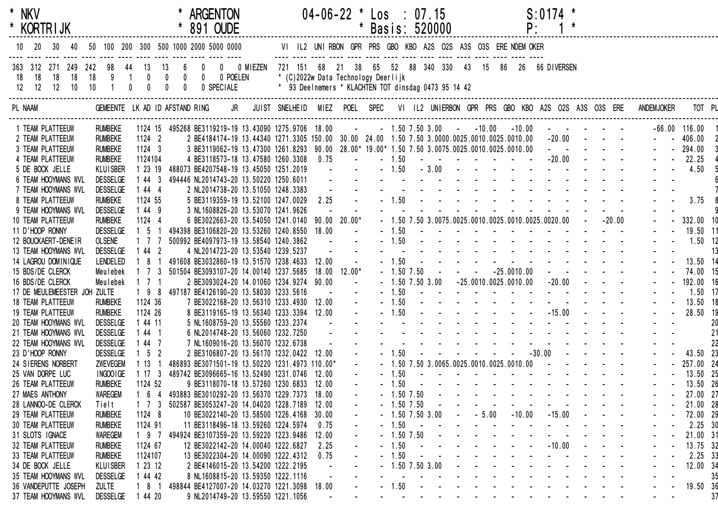| * NKV<br>* KORTRIJK                          |                                    |                             |                 | * ARGENTON<br>* 891 OUDE                                                                                                                             |                                                                                             |                                                                                                                                                                                                                                                                                                                                                                                                                                                           | 04-06-22 * Los : 07.15 | * Basis: 520000 |         |                   |  |  |                                                                                                                                                                                                                               | $S: 0174$ *<br>P: |                                                        |                            |                                   |                         |                                            |                               |
|----------------------------------------------|------------------------------------|-----------------------------|-----------------|------------------------------------------------------------------------------------------------------------------------------------------------------|---------------------------------------------------------------------------------------------|-----------------------------------------------------------------------------------------------------------------------------------------------------------------------------------------------------------------------------------------------------------------------------------------------------------------------------------------------------------------------------------------------------------------------------------------------------------|------------------------|-----------------|---------|-------------------|--|--|-------------------------------------------------------------------------------------------------------------------------------------------------------------------------------------------------------------------------------|-------------------|--------------------------------------------------------|----------------------------|-----------------------------------|-------------------------|--------------------------------------------|-------------------------------|
| 10<br>40                                     |                                    |                             |                 | 50 100 200 300 500 1000 2000 5000 0000                                                                                                               |                                                                                             |                                                                                                                                                                                                                                                                                                                                                                                                                                                           |                        |                 |         |                   |  |  |                                                                                                                                                                                                                               |                   |                                                        |                            |                                   |                         |                                            |                               |
| 363 312 271 249 242 98 44 13                 |                                    | 13                          | $6\overline{6}$ | 0 0 0 MIEZEN 721 151 68 21 38 65 52 88 340 330 43 15 86 26 66 DIVERSEN                                                                               |                                                                                             |                                                                                                                                                                                                                                                                                                                                                                                                                                                           |                        |                 |         |                   |  |  |                                                                                                                                                                                                                               |                   |                                                        |                            |                                   |                         |                                            |                               |
| 18 18<br>18<br>12 12 12 10 10                |                                    |                             |                 |                                                                                                                                                      | * (C)2022w Data Technology Deerlijk<br>* 93 Deelnemers * KLACHTEN TOT dinsdag 0473 95 14 42 |                                                                                                                                                                                                                                                                                                                                                                                                                                                           |                        |                 |         |                   |  |  |                                                                                                                                                                                                                               |                   |                                                        |                            |                                   |                         |                                            |                               |
| PL NAAM                                      | GEMEENTE LK AD ID AFSTAND RING     |                             |                 |                                                                                                                                                      | JR JUIST SNELHEID MIEZ POEL SPEC VI IL2 UNIERBON GPR PRS GBO KBO A2S O2S A3S O3S ERE        |                                                                                                                                                                                                                                                                                                                                                                                                                                                           |                        |                 |         |                   |  |  |                                                                                                                                                                                                                               |                   |                                                        |                            |                                   |                         | <b>ANDEMJOKER</b>                          |                               |
|                                              |                                    |                             |                 |                                                                                                                                                      |                                                                                             |                                                                                                                                                                                                                                                                                                                                                                                                                                                           |                        |                 |         |                   |  |  |                                                                                                                                                                                                                               |                   |                                                        |                            |                                   |                         |                                            |                               |
| 1 TEAM PLATTEEUW<br>2 TEAM PLATTEEUW         | <b>RUMBEKE</b><br><b>RUMBEKE</b>   | 1124 2                      |                 | 1124 15 495268 BE3119219-19 13.43090 1275.9706 18.00<br>2 BE4184174-19 13.44340 1271.3305 150.00 30.00 24.00 1.50 7.50 3.0000.0025.0010.0025.0010.00 |                                                                                             |                                                                                                                                                                                                                                                                                                                                                                                                                                                           | <b>Contractor</b>      |                 |         |                   |  |  | $-1.50$ $7.50$ $3.00$ $-10.00$ $-10.00$                                                                                                                                                                                       |                   | and the second control of the second<br>$-20.00$ - - - |                            |                                   |                         |                                            | $-66.00$ 116.00<br>$- 406.00$ |
| 3 TEAM PLATTEEUW                             | <b>RUMBEKE</b>                     | $1124 - 3$                  |                 | 3 BE3119062-19 13.47300 1261.8293 90.00 28.00* 19.00* 1.50 7.50 3.0075.0025.0010.0025.0010.00 - - - - - - -                                          |                                                                                             |                                                                                                                                                                                                                                                                                                                                                                                                                                                           |                        |                 |         |                   |  |  |                                                                                                                                                                                                                               |                   |                                                        |                            |                                   |                         |                                            | $- - 294.00$                  |
| 4 TEAM PLATTEEUW                             | <b>RUMBEKE</b>                     | 1124104                     |                 | 4 BE3118573-18 13.47580 1260.3308 0.75                                                                                                               |                                                                                             |                                                                                                                                                                                                                                                                                                                                                                                                                                                           | $\sim$                 |                 | $-1.50$ |                   |  |  |                                                                                                                                                                                                                               |                   |                                                        |                            |                                   |                         |                                            | 22.25                         |
| 5 DE BOCK JELLE                              | <b>KLUISBER</b>                    | 1 23 19                     |                 | 488073 BE4207548-19 13.45050 1251.2019                                                                                                               |                                                                                             | $\mathcal{L}^{\mathcal{L}}(\mathcal{L}^{\mathcal{L}}(\mathcal{L}^{\mathcal{L}}(\mathcal{L}^{\mathcal{L}}(\mathcal{L}^{\mathcal{L}}(\mathcal{L}^{\mathcal{L}}(\mathcal{L}^{\mathcal{L}}(\mathcal{L}^{\mathcal{L}}(\mathcal{L}^{\mathcal{L}}(\mathcal{L}^{\mathcal{L}}(\mathcal{L}^{\mathcal{L}}(\mathcal{L}^{\mathcal{L}}(\mathcal{L}^{\mathcal{L}}(\mathcal{L}^{\mathcal{L}}(\mathcal{L}^{\mathcal{L}}(\mathcal{L}^{\mathcal{L}}(\mathcal{L}^{\mathcal{L$ |                        |                 |         |                   |  |  |                                                                                                                                                                                                                               |                   |                                                        |                            |                                   |                         |                                            | 4.50                          |
| 6 TEAM HOOYMANS WVL                          | <b>DESSELGE</b>                    | 1443                        |                 | 494446 NL2014743-20 13.50220 1250.6011                                                                                                               |                                                                                             | $\sim 10^{-1}$                                                                                                                                                                                                                                                                                                                                                                                                                                            |                        |                 |         |                   |  |  | and a complete the second contract of the second second second second second second second second second second                                                                                                               |                   |                                                        |                            |                                   |                         |                                            |                               |
| 7 TEAM HOOYMANS WVL                          | <b>DESSELGE</b>                    | 1444                        |                 | 2 NL2014738-20 13.51050 1248.3383                                                                                                                    |                                                                                             |                                                                                                                                                                                                                                                                                                                                                                                                                                                           |                        |                 |         |                   |  |  | <u>.</u>                                                                                                                                                                                                                      |                   |                                                        |                            |                                   |                         |                                            |                               |
| 8 TEAM PLATTEEUW                             | <b>RUMBEKE</b>                     | 1124 55                     |                 | 5 BE3119359-19 13.52100 1247.0029                                                                                                                    |                                                                                             | 2.25                                                                                                                                                                                                                                                                                                                                                                                                                                                      |                        |                 |         |                   |  |  | $-1.50$                                                                                                                                                                                                                       |                   |                                                        |                            |                                   |                         |                                            | 3.75                          |
| 9 TEAM HOOYMANS WVL                          | <b>DESSELGE</b>                    | 1 44 9                      |                 | 3 NL1608826-20 13.53070 1241.9626                                                                                                                    |                                                                                             |                                                                                                                                                                                                                                                                                                                                                                                                                                                           |                        |                 |         |                   |  |  |                                                                                                                                                                                                                               |                   |                                                        |                            |                                   |                         |                                            |                               |
| 10 TEAM PLATTEEUW                            | <b>RUMBEKE</b>                     | 1124 4                      |                 | 6 BE3022663-20 13.54050 1241.0140 90.00 20.00*                                                                                                       |                                                                                             |                                                                                                                                                                                                                                                                                                                                                                                                                                                           |                        |                 |         |                   |  |  | $-1.50$ 7.50 3.0075.0025.0010.0025.0010.0025.0020.00 $-$ -20.00                                                                                                                                                               |                   |                                                        |                            |                                   |                         |                                            | 332.00 10                     |
| 11 D'HOOP RONNY                              | <b>DESSELGE</b>                    | $1\quad5\quad1$             |                 | 494398 BE3106820-20 13.53260 1240.8550 18.00                                                                                                         |                                                                                             |                                                                                                                                                                                                                                                                                                                                                                                                                                                           | $\sim$                 |                 |         |                   |  |  | $-1.50$                                                                                                                                                                                                                       |                   |                                                        |                            |                                   |                         |                                            | 19.50 11                      |
| 12 BOUCKAERT-DENEIR                          | <b>OLSENE</b>                      | $1 \quad 7 \quad 7$         |                 | 500992 BE4097973-19 13.58540 1240.3862                                                                                                               |                                                                                             | <b>Contract Contract</b>                                                                                                                                                                                                                                                                                                                                                                                                                                  |                        |                 |         |                   |  |  | $-1.50$ . The set of the set of the set of the set of the set of the set of the set of the set of the set of the set of the set of the set of the set of the set of the set of the set of the set of the set of the set of th |                   |                                                        |                            |                                   |                         |                                            | $1.50$ 12                     |
| 13 TEAM HOOYMANS WVL                         | <b>DESSELGE</b>                    | 1442                        |                 | 4 NL2014723-20 13.53540 1239.5237                                                                                                                    |                                                                                             |                                                                                                                                                                                                                                                                                                                                                                                                                                                           |                        |                 |         |                   |  |  | and the state of the state of the state of the                                                                                                                                                                                |                   |                                                        |                            |                                   |                         |                                            | 13                            |
| 14 LAGROU DOMINIQUE                          | LENDELED                           | 8 1<br>$\overline{1}$       |                 | 491608 BE3032860-19 13.51570 1238.4633 12.00                                                                                                         |                                                                                             |                                                                                                                                                                                                                                                                                                                                                                                                                                                           | $\mathbf{u}^{\dagger}$ |                 |         |                   |  |  | $-1.50$                                                                                                                                                                                                                       |                   |                                                        |                            |                                   |                         |                                            | 13.50 14                      |
| 15 BDS/DE CLERCK                             | Meulebek                           | 1 7 3                       |                 | 501504 BE3093107-20 14.00140 1237.5685                                                                                                               |                                                                                             |                                                                                                                                                                                                                                                                                                                                                                                                                                                           | $18.00$ $12.00*$       |                 |         |                   |  |  | $-1.507.50$ $  -25.0010.00$ $   -$                                                                                                                                                                                            |                   |                                                        |                            |                                   |                         |                                            | 74.00 15                      |
| 16 BDS/DE CLERCK                             | Meulebek                           | $1 \t1 \t1$                 |                 | 2 BE3093024-20 14.01060 1234.9274 90.00                                                                                                              |                                                                                             |                                                                                                                                                                                                                                                                                                                                                                                                                                                           | $\sim$                 |                 |         |                   |  |  | $-1.50$ 7.50 3.00 $-25.0010.0025.0010.00$ $-20.00$ $-$                                                                                                                                                                        |                   |                                                        |                            |                                   |                         |                                            | 192.00 16                     |
| 17 DE MEULEMEESTER JOH ZULTE                 |                                    | $198$                       |                 | 497187 BE4126190-20 13.58030 1233.5616                                                                                                               |                                                                                             | $\sim 100$ km s $^{-1}$                                                                                                                                                                                                                                                                                                                                                                                                                                   | $\mathbf{u}^{\dagger}$ |                 |         |                   |  |  | $-1.50$                                                                                                                                                                                                                       |                   |                                                        |                            |                                   |                         |                                            | $1.50$ 17                     |
| 18 TEAM PLATTEEUW                            | <b>RUMBEKE</b>                     | 1124 36                     |                 | 7 BE3022168-20 13.56310 1233.4930                                                                                                                    |                                                                                             | 12.00                                                                                                                                                                                                                                                                                                                                                                                                                                                     |                        |                 |         |                   |  |  | $-1.50$                                                                                                                                                                                                                       |                   |                                                        |                            |                                   |                         |                                            | 13.50 18                      |
| 19 TEAM PLATTEEUW                            | <b>RUMBEKE</b>                     | 1124 26                     |                 | 8 BE3119165-19 13.56340 1233.3394 12.00                                                                                                              |                                                                                             |                                                                                                                                                                                                                                                                                                                                                                                                                                                           |                        |                 |         | $-1.50 -$         |  |  |                                                                                                                                                                                                                               |                   |                                                        |                            |                                   |                         |                                            | 28.50 19                      |
| 20 TEAM HOOYMANS WVL                         | <b>DESSELGE</b>                    | 1 44 11                     |                 | 5 NL1608759-20 13.55560 1233.2374                                                                                                                    |                                                                                             |                                                                                                                                                                                                                                                                                                                                                                                                                                                           |                        |                 |         |                   |  |  | a construction of the construction of the construction of the construction of the construction of the construction of the construction of the construction of the construction of the construction of the construction of the |                   |                                                        |                            |                                   |                         |                                            | 20                            |
| 21 TEAM HOOYMANS WVL<br>22 TEAM HOOYMANS WVL | <b>DESSELGE</b>                    | $144$ 1                     |                 | 6 NL2014748-20 13.56060 1232.7250<br>7 NL1609016-20 13.56070 1232.6738                                                                               |                                                                                             |                                                                                                                                                                                                                                                                                                                                                                                                                                                           |                        |                 |         |                   |  |  | and the second contract of the second contract of the second contract of the second contract of the second contract of the second contract of the second contract of the second contract of the second contract of the second |                   |                                                        |                            |                                   |                         |                                            | 21                            |
| 23 D'HOOP RONNY                              | <b>DESSELGE</b><br><b>DESSELGE</b> | 1 44 7<br>$1\quad 5\quad 2$ |                 | 2 BE3106807-20 13.56170 1232.0422                                                                                                                    |                                                                                             | 12.00                                                                                                                                                                                                                                                                                                                                                                                                                                                     |                        |                 |         | $-1.50 -$         |  |  |                                                                                                                                                                                                                               |                   |                                                        |                            |                                   |                         |                                            | 22<br>43.50 23                |
| 24 SIERENS NORBERT                           | ZWEVEGEM                           | 1131                        |                 | 486893 BE3071501-19 13.50220 1231.4973 110.00*                                                                                                       |                                                                                             |                                                                                                                                                                                                                                                                                                                                                                                                                                                           | $\omega_{\rm{max}}$    |                 |         |                   |  |  | $-1.50$ 7.50 3.0065.0025.0010.0025.0010.00 $   -$                                                                                                                                                                             |                   |                                                        |                            |                                   |                         |                                            | $-257.0024$                   |
| 25 VAN DORPE LUC                             | INGOO IGE                          |                             |                 | 1 17 3 489742 BE3096665-16 13.52490 1231.0746 12.00                                                                                                  |                                                                                             |                                                                                                                                                                                                                                                                                                                                                                                                                                                           |                        |                 |         |                   |  |  | $-1.50$                                                                                                                                                                                                                       |                   |                                                        |                            |                                   |                         |                                            | 13.50 25                      |
| 26 TEAM PLATTEEUW                            | <b>RUMBEKE</b>                     | 1124 52                     |                 | 9 BE3118070-18 13.57260 1230.6833 12.00                                                                                                              |                                                                                             |                                                                                                                                                                                                                                                                                                                                                                                                                                                           |                        |                 | $-1.50$ |                   |  |  | and the second contract of the second second                                                                                                                                                                                  |                   |                                                        |                            |                                   |                         |                                            | 13.50 26                      |
| 27 MAES ANTHONY                              | WAREGEM                            | 6<br>4                      |                 | 493883 BE3010292-20 13.56370 1229.7373                                                                                                               |                                                                                             | 18.00                                                                                                                                                                                                                                                                                                                                                                                                                                                     |                        |                 |         | $-1.50$ 7.50      |  |  |                                                                                                                                                                                                                               |                   |                                                        |                            |                                   |                         |                                            | 27.00 27                      |
| 28 LANNOO-DE CLERCK                          | Tielt                              | 1 7 3                       |                 | 502587 BE3053247-20 14.04020 1228.7189                                                                                                               |                                                                                             | 12.00                                                                                                                                                                                                                                                                                                                                                                                                                                                     |                        |                 |         | $-1.50$ 7.50      |  |  |                                                                                                                                                                                                                               |                   |                                                        |                            |                                   |                         |                                            | 21.00 28                      |
| 29 TEAM PLATTEEUW                            | <b>RUMBEKE</b>                     | 1124 8                      |                 | 10 BE3022140-20 13.58500 1226.4168                                                                                                                   |                                                                                             | 30.00                                                                                                                                                                                                                                                                                                                                                                                                                                                     |                        |                 |         | $-1.50$ 7.50 3.00 |  |  | $ -$ 5.00 $-10.00$                                                                                                                                                                                                            |                   | $-15.00$                                               | $\sim$ 100 $\pm$           | $\sim 100$ km s $^{-1}$           | $\sim 100$              |                                            | 72.00 29                      |
| <b>30 TEAM PLATTEEUW</b>                     | <b>RUMBEKE</b>                     | 1124 91                     |                 | 11 BE3118496-18 13.59260 1224.5974                                                                                                                   |                                                                                             | 0.75                                                                                                                                                                                                                                                                                                                                                                                                                                                      |                        |                 | $-1.50$ | $\sim$            |  |  | $\sim$<br>$\sim 100$ km s $^{-1}$                                                                                                                                                                                             | $\sim$ $-$        | $\sim 100$                                             | $\sim$ $-$                 |                                   | $\sim 100$ km s $^{-1}$ |                                            | 2.25 30                       |
| 31 SLOTS IGNACE                              | <b>WAREGEM</b>                     | 1 9 7                       |                 | 494924 BE3107359-20 13.59220 1223.9486                                                                                                               |                                                                                             | 12.00                                                                                                                                                                                                                                                                                                                                                                                                                                                     |                        |                 |         | $-1.50$ 7.50      |  |  | <b>Contract Contract</b>                                                                                                                                                                                                      |                   | <b>Contract Contract</b>                               |                            |                                   |                         |                                            | 21.00 31                      |
| 32 TEAM PLATTEEUW                            | <b>RUMBEKE</b>                     | 1124 67                     |                 | 12 BE3022142-20 14.00040 1222.6827                                                                                                                   |                                                                                             | 2.25                                                                                                                                                                                                                                                                                                                                                                                                                                                      |                        |                 | $-1.50$ |                   |  |  | $    -$ 10.00                                                                                                                                                                                                                 |                   |                                                        | $\sim$ $-$                 | $\sim$ $\sim$                     | $\sim 100$              |                                            | 13.75 32                      |
| 33 TEAM PLATTEEUW                            | <b>RUMBEKE</b>                     | 1124107                     |                 | 13 BE3022304-20 14.00090 1222.4312                                                                                                                   |                                                                                             | 0.75                                                                                                                                                                                                                                                                                                                                                                                                                                                      |                        |                 | $-1.50$ |                   |  |  | $\sim 100$                                                                                                                                                                                                                    | $\sim 10$         | $\sim 100$                                             |                            |                                   |                         |                                            | 2.25 33                       |
| 34 DE BOCK JELLE                             | <b>KLUISBER</b>                    | 1 23 12                     |                 | 2 BE4146015-20 13.54200 1222.2195                                                                                                                    |                                                                                             |                                                                                                                                                                                                                                                                                                                                                                                                                                                           |                        |                 |         | $-1.50$ 7.50 3.00 |  |  | $\sim 100$                                                                                                                                                                                                                    | $\sim 100$        | $\sim$ $\sim$                                          | $\sim 100$                 |                                   |                         |                                            | 12.00 34                      |
| 35 TEAM HOOYMANS WVL                         | <b>DESSELGE</b>                    | 1 44 42                     |                 | 8 NL1608815-20 13.59350 1222.1116                                                                                                                    |                                                                                             |                                                                                                                                                                                                                                                                                                                                                                                                                                                           |                        |                 |         |                   |  |  | $\sim 100$                                                                                                                                                                                                                    |                   | <b>Contract Contract</b>                               | <b>Contract Contract</b>   |                                   |                         |                                            | 35                            |
| 36 VANDEPUTTE JOSEPH                         | <b>ZULTE</b>                       | 8 1                         |                 | 498844 BE4127007-20 14.03270 1221.3098                                                                                                               |                                                                                             | 18.00                                                                                                                                                                                                                                                                                                                                                                                                                                                     |                        |                 | 1.50    |                   |  |  | $\sim 100$<br>$\sim 10$                                                                                                                                                                                                       |                   | <b>Contract Contract</b>                               |                            | <b>Contract Contract Contract</b> | $\sim$                  |                                            | 19.50 36                      |
| 37 TEAM HOOYMANS WVL                         | <b>DESSELGE</b>                    | 1 44 20                     |                 | 9 NL2014749-20 13.59550 1221.1056                                                                                                                    |                                                                                             |                                                                                                                                                                                                                                                                                                                                                                                                                                                           |                        |                 |         |                   |  |  | and the state of the state of the                                                                                                                                                                                             | $\sim 100$        | $\sim 100$ km s $^{-1}$                                | and the state of the state |                                   | $\sim$                  | $\mathbf{u} = \mathbf{u} \cdot \mathbf{u}$ | 37                            |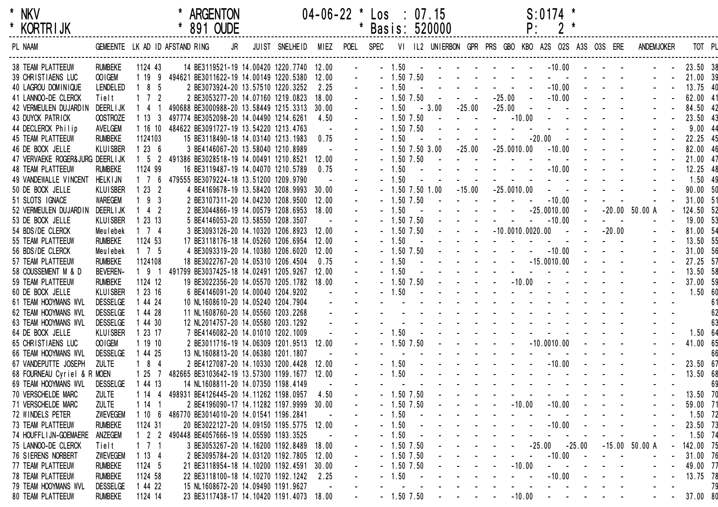| $\star$ | <b>NKV</b>      |
|---------|-----------------|
| $\star$ | <b>KORTRIJK</b> |

| <b>KORIRIJK</b>                    |                 |                     | 891 OUDE                                      |    |                                   |       | Basis: 520000 |                |                |                                                                                           |                                                                                                                                                                                                                                                                                                    | Ρ.                                |                                                                          |                              |                |                   |           |    |
|------------------------------------|-----------------|---------------------|-----------------------------------------------|----|-----------------------------------|-------|---------------|----------------|----------------|-------------------------------------------------------------------------------------------|----------------------------------------------------------------------------------------------------------------------------------------------------------------------------------------------------------------------------------------------------------------------------------------------------|-----------------------------------|--------------------------------------------------------------------------|------------------------------|----------------|-------------------|-----------|----|
| PL NAAM                            |                 |                     | GEMEENTE LK AD ID AFSTAND RING                | JR | JUIST SNELHEID                    |       |               |                |                |                                                                                           | MIEZ POEL SPEC VI IL2 UNIERBON GPR PRS GBO KBO A2S O2S A3S O3S ERE                                                                                                                                                                                                                                 |                                   |                                                                          |                              |                | <b>ANDEMJOKER</b> | TOT PL    |    |
| <b>38 TEAM PLATTEEUW</b>           | <b>RUMBEKE</b>  | 1124 43             | 14 BE3119521-19 14.00420 1220.7740 12.00      |    |                                   |       | $-1.50$       |                |                |                                                                                           | المنابعة المتناوب والمتناوب والمتناوب                                                                                                                                                                                                                                                              |                                   | $-10.00$ $  -$                                                           |                              |                |                   | 23.50 38  |    |
| 39 CHRISTIAENS LUC                 | OO IGEM         |                     | 1 19 9 494621 BE3011622-19 14.00149 1220.5380 |    |                                   | 12.00 |               | $-1.50$ 7.50   |                |                                                                                           |                                                                                                                                                                                                                                                                                                    |                                   | $\mathcal{L}(\mathbf{z})$ , and $\mathcal{L}(\mathbf{z})$ , and          |                              |                |                   | 21.00 39  |    |
| 40 LAGROU DOMINIQUE                | LENDELED        | $185$               | 2 BE3073924-20 13.57510 1220.3252             |    |                                   | 2.25  | 1.50          |                |                |                                                                                           | $\Delta \phi = \Delta \phi = 0.1$                                                                                                                                                                                                                                                                  |                                   |                                                                          |                              | $-10.00$ - - - |                   | 13.75 40  |    |
| 41 LANNOO-DE CLERCK                | Tielt           | $1 \quad 7 \quad 2$ | 2 BE3053277-20 14.07160 1219.0823             |    |                                   | 18.00 |               | $1.50$ $7.50$  |                |                                                                                           | $-25.00$                                                                                                                                                                                                                                                                                           | $\sim$ $-$                        | $-10.00$                                                                 | $\sim 100$                   |                |                   | 62.00 41  |    |
| 42 VERMEULEN DUJARDIN              | DEERL I JK      | 1 4 1               | 490688 BE3000988-20 13.58449 1215.3313        |    |                                   | 30.00 | 1.50          |                | $-3.00$        | $-25.00$                                                                                  | $-25.00$                                                                                                                                                                                                                                                                                           | $\sim$ $\sim$                     | $\mathbf{u} = \mathbf{u} \cdot \mathbf{u}$ .                             |                              |                |                   | 84.50 42  |    |
| 43 DUYCK PATRICK                   | <b>OOSTROZE</b> | 1133                | 497774 BE3052098-20 14.04490 1214.6261        |    |                                   | 4.50  |               | $-1.50$ 7.50   |                |                                                                                           | $\sim 100$                                                                                                                                                                                                                                                                                         | $-10.00$                          |                                                                          |                              |                |                   | 23.50 43  |    |
| 44 DECLERCK Philip                 | AVELGEM         | 1 16 10             | 484622 BE3091727-19 13.54220 1213.4763        |    |                                   |       |               | $1.50$ $7.50$  |                |                                                                                           |                                                                                                                                                                                                                                                                                                    |                                   |                                                                          |                              |                |                   | 9.0044    |    |
| <b>45 TEAM PLATTEEUW</b>           | <b>RUMBEKE</b>  | 1124103             | 15 BE3118490-18 14.03140 1213.1983            |    |                                   | 0.75  | 1.50          |                |                |                                                                                           | $\sim$ $-$                                                                                                                                                                                                                                                                                         | $-20.00$                          |                                                                          |                              |                |                   | 22.25 45  |    |
| 46 DE BOCK JELLE                   | <b>KLUISBER</b> | 1236                | 3 BE4146067-20 13.58040 1210.8989             |    |                                   |       |               |                | 1.50 7.50 3.00 | $-25.00$                                                                                  | $-25.0010.00$                                                                                                                                                                                                                                                                                      |                                   | $-10.00$                                                                 | $\sim 100$                   |                |                   | 82.00 46  |    |
| 47 VERVAEKE ROGER& JURG DEERL I JK |                 | $1\quad5\quad2$     | 491386 BE3028518-19 14.00491 1210.8521        |    |                                   | 12.00 |               | $-1.50$ 7.50   |                |                                                                                           | $\Delta\phi$ and $\Delta\phi$ are $\Delta\phi$ .                                                                                                                                                                                                                                                   |                                   |                                                                          |                              |                |                   | 21.00 47  |    |
| <b>48 TEAM PLATTEEUW</b>           | <b>RUMBEKE</b>  | 1124 99             | 16 BE3119487-19 14.04070 1210.5789            |    |                                   | 0.75  | 1.50          |                |                |                                                                                           | and a straight and                                                                                                                                                                                                                                                                                 |                                   | $-10.00$                                                                 | $\sim 100$                   |                |                   | 12.25 48  |    |
| 49 VANDEWALLE VINCENT              | <b>HELKIJN</b>  | $1 \t7 \t6$         | 479555 BE3079224-18 13.51200 1209.9790        |    |                                   |       | 1.50          |                |                |                                                                                           |                                                                                                                                                                                                                                                                                                    | $\sim 10^{-1}$ and $\sim 10^{-1}$ | $\mathbf{u} = \mathbf{u} + \mathbf{u}$ , where $\mathbf{u} = \mathbf{u}$ |                              |                |                   | 1.50 49   |    |
| 50 DE BOCK JELLE                   | <b>KLUISBER</b> | 1232                | 4 BE4169678-19 13.58420 1208.9993             |    |                                   | 30.00 |               |                | 1.50 7.50 1.00 | $-15.00$                                                                                  | $-25.0010.00$                                                                                                                                                                                                                                                                                      |                                   | $\Delta \phi = \Delta \phi = 0$ , and                                    |                              |                |                   | 90.00 50  |    |
| 51 SLOTS IGNACE                    | <b>WAREGEM</b>  | $193$               | 2 BE3107311-20 14.04230 1208.9500             |    |                                   | 12.00 |               | $-1.50$ 7.50   |                |                                                                                           | $\sim 10^{-1}$ and $\sim 10^{-1}$                                                                                                                                                                                                                                                                  | $\sim 100$                        | $-10.00$                                                                 |                              |                |                   | 31.00 51  |    |
| 52 VERMEULEN DUJARDIN              | DEERL I JK      | $142$               | 2 BE3044866-19 14.00579 1208.6953             |    |                                   | 18.00 | 1.50          |                |                |                                                                                           |                                                                                                                                                                                                                                                                                                    |                                   | $-25.0010.00$                                                            | $\sim$                       |                | $-20.00$ 50.00 A  | 124.50 52 |    |
| 53 DE BOCK JELLE                   | <b>KLUISBER</b> | 1 23 13             | 5 BE4146053-20 13.58550 1208.3507             |    |                                   |       |               | $-1.50$ $7.50$ |                |                                                                                           |                                                                                                                                                                                                                                                                                                    | $\sim$ $-$                        | $-10.00$                                                                 |                              | $\sim$ $ \sim$ |                   | 19.00 53  |    |
| 54 BDS/DE CLERCK                   | Meulebek        | $1 \quad 7 \quad 4$ | 3 BE3093126-20 14.10320 1206.8923             |    |                                   | 12.00 |               | $1.50$ $7.50$  |                |                                                                                           | $-10.0010.0020.00$                                                                                                                                                                                                                                                                                 |                                   |                                                                          | $\sim$ 100 $\sim$ 100 $\sim$ | $-20.00$       |                   | 81.00 54  |    |
| 55 TEAM PLATTEEUW                  | <b>RUMBEKE</b>  | 1124 53             | 17 BE3118176-18 14.05260 1206.6954            |    |                                   | 12.00 | 1.50          |                |                |                                                                                           |                                                                                                                                                                                                                                                                                                    | $\sim 100$ km s $^{-1}$           | and the state of the state of                                            |                              |                |                   | 13.50 55  |    |
| 56 BDS/DE CLERCK                   | Meulebek        | $1 \quad 7 \quad 5$ | 4 BE3093319-20 14.10380 1206.6020             |    |                                   | 12.00 |               | $1.50$ $7.50$  |                |                                                                                           | $   -10.00$ $-$                                                                                                                                                                                                                                                                                    |                                   |                                                                          |                              |                |                   | 31.00 56  |    |
| 57 TEAM PLATTEEUW                  | <b>RUMBEKE</b>  | 1124108             | 18 BE3022767-20 14.05310 1206.4504            |    |                                   | 0.75  | 1.50          |                |                |                                                                                           | $    -$ 15.0010.00                                                                                                                                                                                                                                                                                 |                                   |                                                                          | $\sim$                       |                |                   | 27.25 57  |    |
| 58 COUSSEMENT M & D                | <b>BEVEREN-</b> | $191$               | 491799 BE3037425-18 14.02491 1205.9267        |    |                                   | 12.00 | 1.50          |                |                |                                                                                           |                                                                                                                                                                                                                                                                                                    |                                   | and a straight and a straight                                            |                              |                |                   | 13.50 58  |    |
| 59 TEAM PLATTEEUW                  | <b>RUMBEKE</b>  | 1124 12             | 19 BE3022356-20 14.05570 1205.1782            |    |                                   | 18.00 |               | $1.50$ $7.50$  |                | $\mathbf{L}^{\text{max}}$ , and $\mathbf{L}^{\text{max}}$ , and $\mathbf{L}^{\text{max}}$ |                                                                                                                                                                                                                                                                                                    | $-10.00$                          | $\sim 10$                                                                |                              |                |                   | 37.00 59  |    |
| 60 DE BOCK JELLE                   | <b>KLUISBER</b> | 1 23 16             | 6 BE4146091-20 14.00040 1204.9202             |    |                                   |       | $-1.50$       |                |                |                                                                                           | $\mathcal{L}^{\mathcal{A}}$ . The set of the set of the $\mathcal{A}$                                                                                                                                                                                                                              |                                   |                                                                          |                              |                |                   | 1.50 60   |    |
| 61 TEAM HOOYMANS WVL               | <b>DESSELGE</b> | 1 44 24             | 10 NL1608610-20 14.05240 1204.7904            |    |                                   |       |               |                |                |                                                                                           |                                                                                                                                                                                                                                                                                                    |                                   |                                                                          |                              |                |                   |           | 61 |
| 62 TEAM HOOYMANS WVL               | <b>DESSELGE</b> | 1 44 28             | 11 NL1608760-20 14.05560 1203.2268            |    |                                   |       |               |                |                |                                                                                           |                                                                                                                                                                                                                                                                                                    |                                   |                                                                          |                              |                |                   |           | 62 |
| 63 TEAM HOOYMANS WVL               | <b>DESSELGE</b> | 1 44 30             | 12 NL2014757-20 14.05580 1203.1292            |    |                                   |       |               |                |                |                                                                                           | the contract of the contract of the con-                                                                                                                                                                                                                                                           |                                   |                                                                          |                              |                |                   |           | 63 |
| 64 DE BOCK JELLE                   | <b>KLUISBER</b> | 1 23 17             | 7 BE4146082-20 14.01010 1202.1009             |    |                                   |       | 1.50          |                |                |                                                                                           | <b>Service Control</b>                                                                                                                                                                                                                                                                             |                                   | and the second control of the second                                     |                              |                |                   | 1.50 64   |    |
| 65 CHRISTIAENS LUC                 | OO IGEM         | 11910               | 2 BE3011716-19 14.06309 1201.9513 12.00       |    |                                   |       |               | $-1.50$ 7.50   |                |                                                                                           |                                                                                                                                                                                                                                                                                                    |                                   | $-10.0010.00$                                                            |                              |                |                   | 41.00 65  |    |
| 66 TEAM HOOYMANS WVL               | <b>DESSELGE</b> | 1 44 25             | 13 NL1608813-20 14.06380 1201.1807            |    |                                   |       |               |                |                |                                                                                           |                                                                                                                                                                                                                                                                                                    |                                   |                                                                          |                              |                |                   |           | 66 |
| 67 VANDEPUTTE JOSEPH               | <b>ZULTE</b>    | $184$               | 2 BE4127087-20 14.10330 1200.4428             |    |                                   | 12.00 | 1.50          |                |                |                                                                                           | the contract of                                                                                                                                                                                                                                                                                    |                                   | $-10.00$                                                                 |                              |                |                   | 23.50 67  |    |
| 68 FOURNEAU Cyriel & R MOEN        |                 | 1257                | 482665 BE3103642-19 13.57300 1199.1677        |    |                                   | 12.00 | 1.50          |                |                |                                                                                           | $\mathbf{L}^{\mathcal{A}} = \left\{ \begin{array}{ccc} \mathbf{L}^{\mathcal{A}} & \mathbf{L}^{\mathcal{A}} & \mathbf{L}^{\mathcal{A}} & \mathbf{L}^{\mathcal{A}} \\ \mathbf{L}^{\mathcal{A}} & \mathbf{L}^{\mathcal{A}} & \mathbf{L}^{\mathcal{A}} & \mathbf{L}^{\mathcal{A}} \end{array} \right.$ |                                   |                                                                          |                              |                |                   | 13.50 68  |    |
| 69 TEAM HOOYMANS WVL               | <b>DESSELGE</b> | 1 44 13             | 14 NL1608811-20 14.07350 1198.4149            |    |                                   |       |               |                |                |                                                                                           |                                                                                                                                                                                                                                                                                                    |                                   |                                                                          |                              |                |                   |           | 69 |
| 70 VERSCHELDE MARC                 | <b>ZULTE</b>    | 1 14 4              | 498931 BE4126445-20 14.11262 1198.0957        |    |                                   | 4.50  |               | $-1.50$ 7.50   |                |                                                                                           | <b>Service State</b>                                                                                                                                                                                                                                                                               |                                   | and the state of the state of                                            |                              |                |                   | 13.50 70  |    |
| 71 VERSCHELDE MARC                 | <b>ZULTE</b>    | 1141                |                                               |    | 2 BE4196090-17 14.11282 1197.9999 | 30.00 |               | $-1.50$ $7.50$ |                |                                                                                           |                                                                                                                                                                                                                                                                                                    | $-10.00$                          | $-10.00$                                                                 |                              |                |                   | 59.00 71  |    |
| 72 WINDELS PETER                   | ZWEVEGEM        | 1 10 6              | 486770 BE3014010-20 14.01541 1196.2841        |    |                                   |       | 1.50          |                |                |                                                                                           |                                                                                                                                                                                                                                                                                                    |                                   |                                                                          |                              |                |                   | 1.50 72   |    |
| 73 TEAM PLATTEEUW                  | <b>RUMBEKE</b>  | 1124 31             | 20 BE3022127-20 14.09150 1195.5775            |    |                                   | 12.00 | 1.50          |                |                |                                                                                           |                                                                                                                                                                                                                                                                                                    |                                   | $-10.00$                                                                 |                              |                |                   | 23.50 73  |    |
| 74 HOUFFL I JN-GOEMAERE            | ANZEGEM         | $1 \quad 2 \quad 2$ | 490448 BE4057666-19 14.05590 1193.3525        |    |                                   |       | 1.50          |                |                |                                                                                           |                                                                                                                                                                                                                                                                                                    |                                   |                                                                          |                              |                |                   | 1.50 74   |    |
| 75 LANNOO-DE CLERCK                | Tielt           | $1 \t1 \t1$         | 3 BE3053267-20 14.16200 1192.8489             |    |                                   |       |               | 1.50 7.50      |                |                                                                                           |                                                                                                                                                                                                                                                                                                    | $-25.00$                          |                                                                          | $-25.00$                     |                | $-15.00$ 50.00 A  | 142.00 75 |    |
|                                    |                 |                     |                                               |    |                                   | 18.00 |               |                |                |                                                                                           |                                                                                                                                                                                                                                                                                                    |                                   | $-10.00$                                                                 |                              |                |                   |           |    |
| 76 SIERENS NORBERT                 | ZWEVEGEM        | 1134                | 2 BE3095784-20 14.03120 1192.7805             |    |                                   | 12.00 |               | $-1.50$ 7.50   |                |                                                                                           |                                                                                                                                                                                                                                                                                                    |                                   |                                                                          |                              |                |                   | 31.00 76  |    |
| <b>77 TEAM PLATTEEUW</b>           | <b>RUMBEKE</b>  | 1124 5              | 21 BE3118954-18 14.10200 1192.4591            |    |                                   | 30.00 |               | 1.50 7.50      |                |                                                                                           |                                                                                                                                                                                                                                                                                                    | $-10.00$                          |                                                                          |                              |                |                   | 49.00 77  |    |
| <b>78 TEAM PLATTEEUW</b>           | <b>RUMBEKE</b>  | 1124 58             | 22 BE3118100-18 14.10270 1192.1242            |    |                                   | 2.25  | 1.50          |                |                |                                                                                           |                                                                                                                                                                                                                                                                                                    |                                   | $-10.00$                                                                 |                              |                |                   | 13.75 78  |    |
| 79 TEAM HOOYMANS WVL               | <b>DESSELGE</b> | 1 44 22             | 15 NL1608672-20 14.09490 1191.9627            |    |                                   |       |               |                |                |                                                                                           |                                                                                                                                                                                                                                                                                                    |                                   |                                                                          |                              |                |                   |           | 79 |
| 80 TEAM PLATTEEUW                  | <b>RUMBEKE</b>  | 1124 14             | 23 BE3117438-17 14.10420 1191.4073 18.00      |    |                                   |       |               | $-1.50$ 7.50   |                |                                                                                           |                                                                                                                                                                                                                                                                                                    | $-10.00$                          | and the company of the company                                           |                              |                |                   | 37.00 80  |    |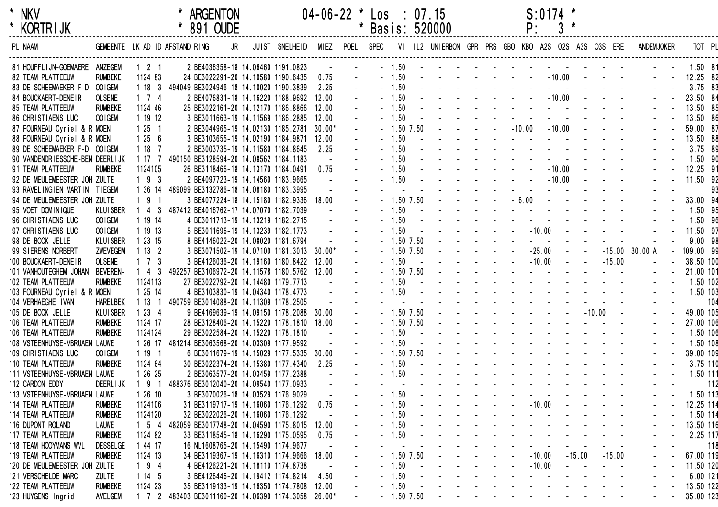| $\star$ | NKV             |  |
|---------|-----------------|--|
| *       | <b>KORTRIJK</b> |  |

| <b>KORTRIJK</b>                 |                   |                     |                                                     | 891 OUDE                                 |                |          |           | Basis: 520000 |                |  |                                                                                                                                                                                                                                | Ρ.       | 3                                 |          |          |                   |           |        |
|---------------------------------|-------------------|---------------------|-----------------------------------------------------|------------------------------------------|----------------|----------|-----------|---------------|----------------|--|--------------------------------------------------------------------------------------------------------------------------------------------------------------------------------------------------------------------------------|----------|-----------------------------------|----------|----------|-------------------|-----------|--------|
| PL NAAM                         |                   |                     | GEMEENTE LK AD ID AFSTAND RING                      | JR                                       | JUIST SNELHEID | MIEZ     | POEL SPEC |               |                |  | VI IL2 UNIERBON GPR PRS GBO KBO A2S O2S A3S O3S ERE                                                                                                                                                                            |          |                                   |          |          | <b>ANDEMJOKER</b> |           | TOT PL |
| 81 HOUFFLIJN-GOEMAERE ANZEGEM   |                   | $1 \quad 2 \quad 1$ |                                                     | 2 BE4036358-18 14.06460 1191.0823        |                |          |           | $-1.50$       |                |  |                                                                                                                                                                                                                                |          |                                   |          |          |                   | 1.50 81   |        |
| 82 TEAM PLATTEEUW               | <b>RUMBEKE</b>    | 1124 83             |                                                     | 24 BE3022291-20 14.10580 1190.6435       |                | 0.75     |           |               | 1.50           |  |                                                                                                                                                                                                                                |          | $-10.00$                          |          |          |                   | 12.25 82  |        |
| 83 DE SCHEEMAEKER F-D OOIGEM    |                   | 1183                | 494049 BE3024946-18 14.10020 1190.3839              |                                          |                | 2.25     |           |               | 1.50           |  |                                                                                                                                                                                                                                |          |                                   |          |          |                   | $3.75$ 83 |        |
| 84 BOUCKAERT-DENEIR             | <b>OLSENE</b>     | $1 \quad 7 \quad 4$ |                                                     | 2 BE4076831-18 14.16220 1188.9692        |                | 12.00    |           |               | 1.50           |  |                                                                                                                                                                                                                                |          | $-10.00$                          |          |          |                   | 23.50 84  |        |
| <b>85 TEAM PLATTEEUW</b>        | <b>RUMBEKE</b>    | 1124 46             |                                                     | 25 BE3022161-20 14.12170 1186.8866       |                | 12.00    |           |               | 1.50           |  |                                                                                                                                                                                                                                |          |                                   |          |          |                   | 13.50 85  |        |
| 86 CHRISTIAENS LUC              | OO IGEM           | 1 19 12             |                                                     | 3 BE3011663-19 14.11569 1186.2885        |                | 12.00    |           |               | 1.50           |  |                                                                                                                                                                                                                                |          |                                   |          |          |                   | 13.50 86  |        |
| 87 FOURNEAU Cyriel & R MOEN     |                   | 1251                |                                                     | 2 BE3044965-19 14.02130 1185.2781        |                | $30.00*$ |           |               | 1.50 7.50      |  |                                                                                                                                                                                                                                | $-10.00$ | $-10.00$                          |          |          |                   | 59.00 87  |        |
| 88 FOURNEAU Cyriel & R MOEN     |                   | 1256                |                                                     | 3 BE3103655-19 14.02190 1184.9871        |                | 12.00    |           |               | 1.50           |  |                                                                                                                                                                                                                                |          |                                   |          |          |                   | 13.50 88  |        |
| 89 DE SCHEEMAEKER F-D OOIGEM    |                   | 1187                |                                                     | 2 BE3003735-19 14.11580 1184.8645        |                | 2.25     |           |               | 1.50           |  |                                                                                                                                                                                                                                |          |                                   |          |          |                   | 3.75 89   |        |
| 90 VANDENDRIESSCHE-BEN DEERLIJK |                   | 1177                | 490150 BE3128594-20 14.08562 1184.1183              |                                          |                |          |           |               | 1.50           |  |                                                                                                                                                                                                                                |          |                                   |          |          |                   | 1.50 90   |        |
| 91 TEAM PLATTEEUW               | <b>RUMBEKE</b>    | 1124105             |                                                     | 26 BE3118466-18 14.13170 1184.0491       |                | 0.75     |           |               | 1.50           |  |                                                                                                                                                                                                                                |          | $-10.00$                          |          |          |                   | 12.25 91  |        |
| 92 DE MEULEMEESTER JOH ZULTE    |                   | $193$               |                                                     | 2 BE4097723-19 14.14560 1183.9665        |                |          |           |               | 1.50           |  |                                                                                                                                                                                                                                |          | $-10.00$                          |          |          |                   | 11.50 92  |        |
| 93 RAVELINGIEN MARTIN TIEGEM    |                   | 1 36 14             | 489099 BE3132786-18 14.08180 1183.3995              |                                          |                |          |           |               |                |  |                                                                                                                                                                                                                                |          |                                   |          |          |                   |           | 93     |
| 94 DE MEULEMEESTER JOH ZULTE    |                   | 191                 |                                                     | 3 BE4077224-18 14.15180 1182.9336        |                | 18.00    |           |               | $-1.50$ $7.50$ |  |                                                                                                                                                                                                                                | $-6.00$  | $\sim 100$                        |          |          |                   | 33.00 94  |        |
| 95 VOET DOMINIQUE               | <b>KLUISBER</b>   | $143$               | 487412 BE4016762-17 14.07070 1182.7039              |                                          |                |          |           | $-1.50$       |                |  |                                                                                                                                                                                                                                |          |                                   |          |          |                   | 1.50 95   |        |
| 96 CHRISTIAENS LUC              | OOIGEM            | 1 19 14             |                                                     | 4 BE3011713-19 14.13219 1182.2715        |                |          |           |               | 1.50           |  |                                                                                                                                                                                                                                |          |                                   |          |          |                   | 1.50 96   |        |
| 97 CHRISTIAENS LUC              | OO IGEM           | 1 19 13             |                                                     | 5 BE3011696-19 14.13239 1182.1773        |                |          |           |               | 1.50           |  |                                                                                                                                                                                                                                | $-10.00$ |                                   |          |          |                   | 11.50 97  |        |
| 98 DE BOCK JELLE                | <b>KLUISBER</b>   | 1 23 15             |                                                     | 8 BE4146022-20 14.08020 1181.6794        |                |          |           |               | 1.50 7.50      |  |                                                                                                                                                                                                                                |          |                                   |          |          |                   | 9.0098    |        |
| 99 SIERENS NORBERT              | ZWEVEGEM          | 1132                |                                                     | 3 BE3071502-19 14.07100 1181.3013 30.00* |                |          |           |               | $1.50$ $7.50$  |  |                                                                                                                                                                                                                                | $-25.00$ |                                   |          |          | $-15.00$ 30.00 A  | 109.00 99 |        |
| 100 BOUCKAERT-DENEIR            | <b>OLSENE</b>     | $1 \quad 7 \quad 3$ |                                                     | 3 BE4126036-20 14.19160 1180.8422        |                | 12.00    |           |               | 1.50           |  |                                                                                                                                                                                                                                | $-10.00$ |                                   |          | $-15.00$ |                   | 38.50 100 |        |
| 101 VANHOUTEGHEM JOHAN          | <b>BEVEREN-</b>   | $1 \quad 4 \quad 3$ | 492257 BE3106972-20 14.11578 1180.5762              |                                          |                | 12.00    |           |               | $-1.50$ 7.50   |  |                                                                                                                                                                                                                                |          |                                   |          |          |                   | 21.00 101 |        |
| 102 TEAM PLATTEEUW              | <b>RUMBEKE</b>    | 1124113             |                                                     | 27 BE3022792-20 14.14480 1179.7713       |                |          |           |               | 1.50           |  |                                                                                                                                                                                                                                |          |                                   |          |          |                   | 1.50 102  |        |
| 103 FOURNEAU Cyriel & R MOEN    |                   | 1 25 14             |                                                     | 4 BE3103830-19 14.04340 1178.4773        |                |          |           |               | 1.50           |  |                                                                                                                                                                                                                                |          |                                   |          |          |                   | 1.50 103  |        |
| 104 VERHAEGHE IVAN              | <b>HARELBEK</b>   | 1131                | 490759 BE3014088-20 14.11309 1178.2505              |                                          |                |          |           |               |                |  |                                                                                                                                                                                                                                |          |                                   |          |          |                   |           | 104    |
| 105 DE BOCK JELLE               | <b>KLUISBER</b>   | 1234                |                                                     | 9 BE4169639-19 14.09150 1178.2088 30.00  |                |          |           |               | $-1.50$ 7.50   |  |                                                                                                                                                                                                                                |          | the company of the company of the |          | $-10.00$ |                   | 49.00 105 |        |
| 106 TEAM PLATTEEUW              | <b>RUMBEKE</b>    | 1124 17             |                                                     | 28 BE3128406-20 14.15220 1178.1810       |                | 18.00    |           |               | $-1.50$ 7.50   |  |                                                                                                                                                                                                                                |          |                                   |          |          |                   | 27.00 106 |        |
| 106 TEAM PLATTEEUW              | <b>RUMBEKE</b>    | 1124124             |                                                     | 29 BE3022584-20 14.15220 1178.1810       |                |          |           |               | 1.50           |  | the contract of the contract of the contract of the contract of the contract of the contract of the contract of the contract of the contract of the contract of the contract of the contract of the contract of the contract o |          |                                   |          |          |                   | 1.50 106  |        |
| 108 VSTEENHUYSE-VBRUAEN LAUWE   |                   | 1 26 17             | 481214 BE3063568-20 14.03309 1177.9592              |                                          |                |          |           |               | 1.50           |  | the contract of the contract of the contract of the contract of the contract of the contract of the contract of the contract of the contract of the contract of the contract of the contract of the contract of the contract o |          |                                   |          |          |                   | 1.50 108  |        |
| 109 CHRISTIAENS LUC             | OOIGEM            | 1191                |                                                     | 6 BE3011679-19 14.15029 1177.5335 30.00  |                |          |           |               | 1.50 7.50      |  | the contract of the contract of the contract of the contract of the contract of the contract of the contract of                                                                                                                |          |                                   |          |          |                   | 39.00 109 |        |
| 110 TEAM PLATTEEUW              | <b>RUMBEKE</b>    | 1124 64             |                                                     | 30 BE3022374-20 14.15380 1177.4340       |                | 2.25     |           |               | 1.50           |  | and the state of the state of the state of the                                                                                                                                                                                 |          |                                   |          |          |                   | 3.75 110  |        |
| 111 VSTEENHUYSE-VBRUAEN LAUWE   |                   | 1 26 25             |                                                     | 2 BE3063577-20 14.03459 1177.2388        |                |          |           |               | 1.50           |  |                                                                                                                                                                                                                                |          |                                   |          |          |                   | 1.50 111  |        |
| 112 CARDON EDDY                 | <b>DEERL I JK</b> | $191$               | 488376 BE3012040-20 14.09540 1177.0933              |                                          |                |          |           |               |                |  |                                                                                                                                                                                                                                |          |                                   |          |          |                   |           | 112    |
| 113 VSTEENHUYSE-VBRUAEN LAUWE   |                   | 12610               |                                                     | 3 BE3070026-18 14.03529 1176.9029        |                |          |           |               | 1.50           |  |                                                                                                                                                                                                                                |          |                                   |          |          |                   | 1.50 113  |        |
| 114 TEAM PLATTEEUW              | <b>RUMBEKE</b>    | 1124106             |                                                     | 31 BE3119717-19 14.16060 1176.1292       |                | 0.75     |           |               | 1.50           |  |                                                                                                                                                                                                                                | $-10.00$ |                                   |          |          |                   | 12.25 114 |        |
| 114 TEAM PLATTEEUW              | <b>RUMBEKE</b>    | 1124120             |                                                     | 32 BE3022026-20 14.16060 1176.1292       |                |          |           |               | 1.50           |  |                                                                                                                                                                                                                                |          |                                   |          |          |                   | 1.50 114  |        |
| 116 DUPONT ROLAND               | <b>LAUWE</b>      | $1 \quad 5 \quad 4$ | 482059 BE3017748-20 14.04590 1175.8015              |                                          |                | 12.00    |           |               | 1.50           |  |                                                                                                                                                                                                                                |          |                                   |          |          |                   | 13.50 116 |        |
| 117 TEAM PLATTEEUW              | <b>RUMBEKE</b>    | 1124 82             |                                                     | 33 BE3118545-18 14.16290 1175.0595       |                | 0.75     |           |               | 1.50           |  |                                                                                                                                                                                                                                |          |                                   |          |          |                   | 2.25 117  |        |
| 118 TEAM HOOYMANS WVL           | <b>DESSELGE</b>   | 1 44 17             |                                                     | 16 NL1608765-20 14.15490 1174.9677       |                |          |           |               |                |  |                                                                                                                                                                                                                                |          |                                   |          |          |                   |           | 118    |
| 119 TEAM PLATTEEUW              | <b>RUMBEKE</b>    | 1124 13             |                                                     | 34 BE3119367-19 14.16310 1174.9666       |                | 18.00    |           |               | $-1.50$ 7.50   |  |                                                                                                                                                                                                                                | $-10.00$ |                                   | $-15.00$ | $-15.00$ |                   | 67.00 119 |        |
| 120 DE MEULEMEESTER JOH ZULTE   |                   | $194$               |                                                     | 4 BE4126221-20 14.18110 1174.8738        |                |          |           |               | 1.50           |  |                                                                                                                                                                                                                                | $-10.00$ |                                   |          |          |                   | 11.50 120 |        |
| 121 VERSCHELDE MARC             | <b>ZULTE</b>      | 1145                |                                                     | 3 BE4126446-20 14.19412 1174.8214        |                | 4.50     |           |               | 1.50           |  |                                                                                                                                                                                                                                |          |                                   |          |          |                   | 6.00 121  |        |
| 122 TEAM PLATTEEUW              | <b>RUMBEKE</b>    | 1124 23             |                                                     | 35 BE3119133-19 14.16350 1174.7808       |                | 12.00    |           |               | 1.50           |  |                                                                                                                                                                                                                                |          |                                   |          |          |                   | 13.50 122 |        |
| 123 HUYGENS Ingrid              | AVELGEM           |                     | 1 7 2 483403 BE3011160-20 14.06390 1174.3058 26.00* |                                          |                |          |           |               | $-1.50$ 7.50   |  |                                                                                                                                                                                                                                |          |                                   |          |          |                   | 35.00 123 |        |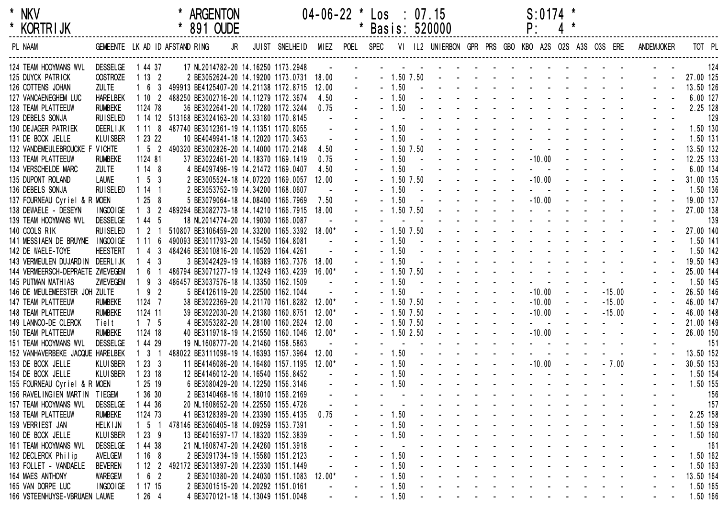| $\star$ | NKV        |  |
|---------|------------|--|
| $\star$ | KORTR I JK |  |

| <b>KORTRIJK</b>                  |                 |                     | 891 OUDE                                       |    |                |        |           |                | Basis: 520000                                       |                                                                                                                                                                                                                                |  | ۲:                               |  |          |            |                       |
|----------------------------------|-----------------|---------------------|------------------------------------------------|----|----------------|--------|-----------|----------------|-----------------------------------------------------|--------------------------------------------------------------------------------------------------------------------------------------------------------------------------------------------------------------------------------|--|----------------------------------|--|----------|------------|-----------------------|
| PL NAAM                          |                 |                     | GEMEENTE LK AD ID AFSTAND RING                 | JR | JUIST SNELHEID | MIEZ   | POEL SPEC |                | VI IL2 UNIERBON GPR PRS GBO KBO A2S O2S A3S O3S ERE |                                                                                                                                                                                                                                |  |                                  |  |          | ANDEMJOKER | TOT PL                |
|                                  |                 |                     |                                                |    |                |        |           |                |                                                     |                                                                                                                                                                                                                                |  |                                  |  |          |            |                       |
| 124 TEAM HOOYMANS WVL            | <b>DESSELGE</b> | 1 44 37             | 17 NL2014782-20 14.16250 1173.2948             |    |                |        |           |                |                                                     |                                                                                                                                                                                                                                |  |                                  |  |          |            | 124                   |
| 125 DUYCK PATRICK                | <b>OOSTROZE</b> | 1132                | 2 BE3052624-20 14.19200 1173.0731 18.00        |    |                |        |           | $-1.50$ 7.50   |                                                     | the contract of the contract of the contract of the contract of the contract of the contract of the contract of the contract of the contract of the contract of the contract of the contract of the contract of the contract o |  |                                  |  |          |            | 27.00 125             |
| 126 COTTENS JOHAN                | <b>ZULTE</b>    | 1 6 3               | 499913 BE4125407-20 14.21138 1172.8715         |    |                | 12.00  |           | $-1.50$        |                                                     | and a straightful contract and a straight                                                                                                                                                                                      |  |                                  |  |          |            | 13.50 126             |
| 127 VANCAENEGHEM LUC             | <b>HARELBEK</b> | 1102                | 488250 BE3002716-20 14.11279 1172.3674         |    |                | 4.50   |           | $-1.50$        |                                                     | <u>.</u>                                                                                                                                                                                                                       |  |                                  |  |          |            | 6.00 127              |
| 128 TEAM PLATTEEUW               | <b>RUMBEKE</b>  | 1124 78             | 36 BE3022641-20 14.17280 1172.3244             |    |                | 0.75   |           | $-1.50$        |                                                     |                                                                                                                                                                                                                                |  |                                  |  |          |            | 2.25 128              |
| 129 DEBELS SONJA                 | <b>RUISELED</b> |                     | 1 14 12 513168 BE3024163-20 14.33180 1170.8145 |    |                |        |           |                |                                                     |                                                                                                                                                                                                                                |  |                                  |  |          |            | 129                   |
| 130 DEJAGER PATRIEK              | <b>DEERLIJK</b> | 1118                | 487740 BE3012361-19 14.11351 1170.8055         |    |                |        |           | 1.50           |                                                     |                                                                                                                                                                                                                                |  |                                  |  |          |            | 1.50 130              |
| 131 DE BOCK JELLE                | KLUISBER        | 1 23 22             | 10 BE4049941-18 14.12020 1170.3453             |    |                |        |           | $-1.50$        |                                                     |                                                                                                                                                                                                                                |  |                                  |  |          |            | 1.50 131              |
| 132 VANDEMEULEBROUCKE F VICHTE   |                 | $1\quad 5\quad 2$   | 490320 BE3002826-20 14.14000 1170.2148         |    |                | 4.50   |           | $-1.50$ 7.50   |                                                     |                                                                                                                                                                                                                                |  |                                  |  |          |            | 13.50 132             |
| 133 TEAM PLATTEEUW               | <b>RUMBEKE</b>  | 1124 81             | 37 BE3022461-20 14.18370 1169.1419             |    |                | 0.75   |           | 1.50           |                                                     |                                                                                                                                                                                                                                |  | $-10.00$                         |  |          |            | 12.25 133             |
| 134 VERSCHELDE MARC              | <b>ZULTE</b>    | 1148                | 4 BE4097496-19 14.21472 1169.0407              |    |                | 4.50   |           | $-1.50$        |                                                     |                                                                                                                                                                                                                                |  |                                  |  |          |            | 6.00 134              |
| 135 DUPONT ROLAND                | <b>LAUWE</b>    | $1\quad 5\quad 3$   | 2 BE3005524-18 14.07220 1169.0057              |    |                | 12.00  |           | $-1.50$ $7.50$ |                                                     |                                                                                                                                                                                                                                |  | $-10.00$                         |  |          |            | 31.00 135             |
| 136 DEBELS SONJA                 | <b>RUISELED</b> | 1141                | 2 BE3053752-19 14.34200 1168.0607              |    |                |        |           | 1.50           |                                                     |                                                                                                                                                                                                                                |  |                                  |  |          |            | 1.50 136              |
| 137 FOURNEAU Cyriel & R MOEN     |                 | 1258                | 5 BE3079064-18 14.08400 1166.7969              |    |                | 7.50   |           | 1.50           |                                                     |                                                                                                                                                                                                                                |  | $-10.00$                         |  |          |            | 19.00 137             |
| 138 DEWAELE - DESEYN             | INGOO IGE       | $1 \quad 3 \quad 2$ | 489294 BE3082773-18 14.14210 1166.7915 18.00   |    |                |        |           | $-1.50$ $7.50$ |                                                     |                                                                                                                                                                                                                                |  |                                  |  |          |            | 27.00 138             |
| 139 TEAM HOOYMANS WVL            | <b>DESSELGE</b> | 1 44 5              | 18 NL2014774-20 14.19030 1166.0087             |    |                |        |           |                |                                                     |                                                                                                                                                                                                                                |  |                                  |  |          |            | 139                   |
| 140 COOLS RIK                    | <b>RUISELED</b> | $1 \quad 2 \quad 1$ | 510807 BE3106459-20 14.33200 1165.3392 18.00*  |    |                |        |           | $-1.50$ 7.50   |                                                     |                                                                                                                                                                                                                                |  |                                  |  |          |            | 27.00 140             |
| 141 MESSIAEN DE BRUYNE           | INGOOIGE        | 1116                | 490093 BE3011793-20 14.15450 1164.8081         |    |                |        |           | $-1.50$        |                                                     |                                                                                                                                                                                                                                |  |                                  |  |          |            | 1.50 141              |
| 142 DE WAELE-TOYE                | <b>HEESTERT</b> | 1 4 3               | 484246 BE3010816-20 14.10520 1164.4261         |    |                |        |           | $-1.50$        |                                                     |                                                                                                                                                                                                                                |  |                                  |  |          |            | 1.50 142              |
| 143 VERMEULEN DUJARDIN DEERLIJK  |                 | $1 \t4 \t3$         | 3 BE3042429-19 14.16389 1163.7376 18.00        |    |                |        |           | 1.50           |                                                     |                                                                                                                                                                                                                                |  |                                  |  |          |            | 19.50 143             |
| 144 VERMEERSCH-DEPRAETE ZWEVEGEM |                 | 6                   | 486794 BE3071277-19 14.13249 1163.4239 16.00*  |    |                |        |           | $-1.50$ 7.50   |                                                     |                                                                                                                                                                                                                                |  |                                  |  |          |            | 25.00 144             |
| 145 PUTMAN MATHIAS               | <b>ZWEVEGEM</b> | $193$               | 486457 BE3037576-18 14.13350 1162.1509         |    |                |        |           | 1.50           |                                                     |                                                                                                                                                                                                                                |  |                                  |  |          |            | 1.50 145              |
| 146 DE MEULEMEESTER JOH ZULTE    |                 | $192$               | 5 BE4126119-20 14.22500 1162.1044              |    |                |        |           | 1.50           |                                                     |                                                                                                                                                                                                                                |  | $-10.00$                         |  | $-15.00$ |            | 26.50 146             |
| 147 TEAM PLATTEEUW               | <b>RUMBEKE</b>  | 1124 7              | 38 BE3022369-20 14.21170 1161.8282 12.00*      |    |                |        |           | $-1.50$ $7.50$ |                                                     |                                                                                                                                                                                                                                |  | $-10.00$                         |  | $-15.00$ |            | 46.00 147             |
| 148 TEAM PLATTEEUW               | <b>RUMBEKE</b>  | 1124 11             | 39 BE3022030-20 14.21380 1160.8751             |    |                | 12.00* |           | $-1.50$ 7.50   |                                                     |                                                                                                                                                                                                                                |  | $-10.00$                         |  | $-15.00$ |            | 46.00 148             |
| 149 LANNOO-DE CLERCK             | Tielt           | $1 \quad 7 \quad 5$ | 4 BE3053282-20 14.28100 1160.2624              |    |                | 12.00  |           | $-1.50$ 7.50   |                                                     |                                                                                                                                                                                                                                |  |                                  |  |          |            | 21.00 149             |
| 150 TEAM PLATTEEUW               | <b>RUMBEKE</b>  | 1124 18             | 40 BE3119718-19 14.21550 1160.1046 12.00*      |    |                |        |           | $-1.502.50$    |                                                     |                                                                                                                                                                                                                                |  | $-10.00$                         |  |          |            | 26.00 150             |
| 151 TEAM HOOYMANS WVL            | <b>DESSELGE</b> | 1 44 29             | 19 NL1608777-20 14.21460 1158.5863             |    |                |        |           |                |                                                     |                                                                                                                                                                                                                                |  |                                  |  |          |            | 151                   |
| 152 VANHAVERBEKE JACQUE HARELBEK |                 | $1 \quad 3 \quad 1$ | 488022 BE3111098-19 14.16393 1157.3964         |    |                | 12.00  |           | $-1.50$        |                                                     |                                                                                                                                                                                                                                |  |                                  |  |          |            | 13.50 152             |
| 153 DE BOCK JELLE                | KLUISBER        | 1233                | 11 BE4146086-20 14.16480 1157.1195 12.00*      |    |                |        |           | $-1.50$        |                                                     |                                                                                                                                                                                                                                |  | $-10.00$                         |  | $-7.00$  |            | 30.50 153             |
| 154 DE BOCK JELLE                | KLUISBER        | 1 23 18             | 12 BE4146012-20 14.16540 1156.8452             |    |                |        |           | 1.50           |                                                     |                                                                                                                                                                                                                                |  |                                  |  |          |            | 1.50 154              |
| 155 FOURNEAU Cyriel & R MOEN     |                 | 1 25 19             | 6 BE3080429-20 14.12250 1156.3146              |    |                |        |           | 1.50           |                                                     |                                                                                                                                                                                                                                |  |                                  |  |          |            | 1.50 155              |
| 156 RAVELINGIEN MARTIN TIEGEM    |                 | 1 36 30             | 2 BE3140468-16 14.18010 1156.2169              |    |                |        |           |                |                                                     |                                                                                                                                                                                                                                |  |                                  |  |          |            | 156                   |
| 157 TEAM HOOYMANS WVL            | <b>DESSELGE</b> | 1 44 36             | 20 NL1608652-20 14.22550 1155.4726             |    |                |        |           |                |                                                     |                                                                                                                                                                                                                                |  |                                  |  |          |            | 157                   |
| 158 TEAM PLATTEEUW               | <b>RUMBEKE</b>  | 1124 73             | 41 BE3128389-20 14.23390 1155.4135             |    |                | 0.75   |           | 1.50           |                                                     |                                                                                                                                                                                                                                |  |                                  |  |          |            | 2.25 158              |
| 159 VERRIEST JAN                 | <b>HELKIJN</b>  | $1\quad5\quad1$     | 478146 BE3060405-18 14.09259 1153.7391         |    |                |        |           | 1.50           |                                                     |                                                                                                                                                                                                                                |  |                                  |  |          |            | 1.50 159              |
| 160 DE BOCK JELLE                | KLUISBER        | 1239                | 13 BE4016597-17 14.18320 1152.3839             |    |                |        |           | 1.50           |                                                     | المناصب والمناصب والمناصب والمناصر                                                                                                                                                                                             |  |                                  |  |          |            | 1.50 160              |
| 161 TEAM HOOYMANS WVL            | <b>DESSELGE</b> | 1 44 38             | 21 NL1608747-20 14.24260 1151.3918             |    |                |        |           |                |                                                     |                                                                                                                                                                                                                                |  | المنابذ المنابذ المنابذ المنابذة |  |          |            | 161                   |
| 162 DECLERCK Philip              | AVELGEM         | 1168                | 2 BE3091734-19 14.15580 1151.2123              |    |                |        |           | 1.50           |                                                     | and a state of the state of the                                                                                                                                                                                                |  |                                  |  |          |            | 1.50 162              |
| 163 FOLLET - VANDAELE            | <b>BEVEREN</b>  | 1122                | 492172 BE3013897-20 14.22330 1151.1449         |    |                |        |           | 1.50           |                                                     | المنابذ المنابذ المنابذ المنابذ المنابذ                                                                                                                                                                                        |  |                                  |  |          |            |                       |
| 164 MAES ANTHONY                 | <b>WAREGEM</b>  | 162                 | 2 BE3010380-20 14.24030 1151.1083 12.00*       |    |                |        |           | 1.50           |                                                     |                                                                                                                                                                                                                                |  |                                  |  |          |            | 1.50 163              |
| 165 VAN DORPE LUC                | INGOOIGE        | 1 17 15             | 2 BE3001515-20 14.20292 1151.0161              |    |                |        |           | 1.50           |                                                     |                                                                                                                                                                                                                                |  |                                  |  |          |            | 13.50 164<br>1.50 165 |
|                                  |                 |                     |                                                |    |                |        |           |                |                                                     |                                                                                                                                                                                                                                |  |                                  |  |          |            |                       |
| 166 VSTEENHUYSE-VBRUAEN LAUWE    |                 | 1264                | 4 BE3070121-18 14.13049 1151.0048              |    |                |        |           | $-1.50$        |                                                     |                                                                                                                                                                                                                                |  |                                  |  |          |            | 1.50 166              |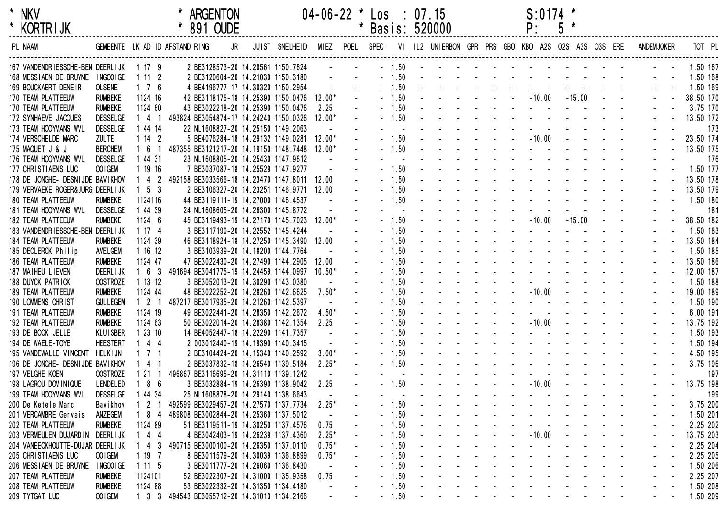| * | <b>NKV</b>      |
|---|-----------------|
|   | <b>KORTRIJK</b> |

| <b>KORIRIJK</b>                         |                   |                     | 891 OUDE                                     |    |                |          |      | Basis: 520000 |      |  |  | Ρ.                                                  | $\mathfrak{c}$ |          |  |                   |           |
|-----------------------------------------|-------------------|---------------------|----------------------------------------------|----|----------------|----------|------|---------------|------|--|--|-----------------------------------------------------|----------------|----------|--|-------------------|-----------|
| PL NAAM                                 |                   |                     | GEMEENTE LK AD ID AFSTAND RING               | JR | JUIST SNELHEID | MIEZ     | POEL | <b>SPEC</b>   |      |  |  | VI IL2 UNIERBON GPR PRS GBO KBO A2S O2S A3S O3S ERE |                |          |  | <b>ANDEMJOKER</b> | TOT PL    |
| 167 VANDENDRIESSCHE-BEN DEERLIJK 1 17 9 |                   |                     | 2 BE3128573-20 14.20561 1150.7624            |    |                |          |      | $-1.50$       |      |  |  |                                                     |                |          |  |                   | 1.50 167  |
| 168 MESSIAEN DE BRUYNE INGOOIGE         |                   | 1112                | 2 BE3120604-20 14.21030 1150.3180            |    |                |          |      |               | 1.50 |  |  |                                                     |                |          |  |                   | 1.50 168  |
| 169 BOUCKAERT-DENEIR                    | <b>OLSENE</b>     | $1 \quad 7 \quad 6$ | 4 BE4196777-17 14.30320 1150.2954            |    |                |          |      |               | 1.50 |  |  |                                                     |                |          |  |                   | 1.50 169  |
| 170 TEAM PLATTEEUW                      | <b>RUMBEKE</b>    | 1124 16             | 42 BE3118175-18 14.25390 1150.0476           |    |                | $12.00*$ |      |               | 1.50 |  |  | $-10.00$                                            |                | $-15.00$ |  |                   | 38.50 170 |
| 170 TEAM PLATTEEUW                      | <b>RUMBEKE</b>    | 1124 60             | 43 BE3022218-20 14.25390 1150.0476           |    |                | 2.25     |      |               | 1.50 |  |  |                                                     |                |          |  |                   | 3.75 170  |
| 172 SYNHAEVE JACQUES                    | <b>DESSELGE</b>   | 1 4 1               | 493824 BE3054874-17 14.24240 1150.0326       |    |                | $12.00*$ |      |               | 1.50 |  |  |                                                     |                |          |  |                   | 13.50 172 |
| 173 TEAM HOOYMANS WVL                   | <b>DESSELGE</b>   | 1 44 14             | 22 NL1608827-20 14.25150 1149.2063           |    |                |          |      |               |      |  |  |                                                     |                |          |  |                   | 173       |
| 174 VERSCHELDE MARC                     | <b>ZULTE</b>      | 1142                | 5 BE4076284-18 14.29132 1149.0281            |    |                | $12.00*$ |      |               | 1.50 |  |  | $-10.00$                                            |                |          |  |                   | 23.50 174 |
| 175 MAQUET J & J                        | <b>BERCHEM</b>    | 161                 | 487355 BE3121217-20 14.19150 1148.7448       |    |                | $12.00*$ |      |               | 1.50 |  |  |                                                     |                |          |  |                   | 13.50 175 |
| 176 TEAM HOOYMANS WVL                   | <b>DESSELGE</b>   | 1 44 31             | 23 NL1608805-20 14.25430 1147.9612           |    |                |          |      |               |      |  |  |                                                     |                |          |  |                   | 176       |
| 177 CHRISTIAENS LUC                     | OOIGEM            | 1 19 16             | 7 BE3037087-18 14.25529 1147.9277            |    |                |          |      |               | 1.50 |  |  |                                                     |                |          |  |                   | 1.50 177  |
| 178 DE JONGHE- DESNIJDE BAVIKHOV        |                   | $1 4 2$             | 492158 BE3033566-18 14.23470 1147.8011 12.00 |    |                |          |      |               | 1.50 |  |  |                                                     |                |          |  |                   | 13.50 178 |
| 179 VERVAEKE ROGER& JURG DEERLIJK       |                   | $1\quad5\quad3$     | 2 BE3106327-20 14.23251 1146.9771 12.00      |    |                |          |      |               | 1.50 |  |  |                                                     |                |          |  |                   | 13.50 179 |
| 180 TEAM PLATTEEUW                      | <b>RUMBEKE</b>    | 1124116             | 44 BE3119111-19 14.27000 1146.4537           |    |                |          |      |               | 1.50 |  |  |                                                     |                |          |  |                   | 1.50 180  |
| 181 TEAM HOOYMANS WVL                   | <b>DESSELGE</b>   | 1 44 39             | 24 NL1608605-20 14.26300 1145.8772           |    |                |          |      |               |      |  |  |                                                     |                |          |  |                   | 181       |
| 182 TEAM PLATTEEUW                      | <b>RUMBEKE</b>    | 1124 6              | 45 BE3119493-19 14.27170 1145.7023           |    |                | $12.00*$ |      |               | 1.50 |  |  | $-10.00$                                            |                | $-15.00$ |  |                   | 38.50 182 |
| 183 VANDENDRIESSCHE-BEN DEERLIJK        |                   | 1174                | 3 BE3117190-20 14.22552 1145.4244            |    |                |          |      |               | 1.50 |  |  |                                                     |                |          |  |                   | 1.50 183  |
| 184 TEAM PLATTEEUW                      | <b>RUMBEKE</b>    | 1124 39             | 46 BE3118924-18 14.27250 1145.3490           |    |                | 12.00    |      |               | 1.50 |  |  |                                                     |                |          |  |                   | 13.50 184 |
| 185 DECLERCK Philip                     | AVELGEM           | 1 16 12             | 3 BE3103939-20 14.18200 1144.7764            |    |                |          |      |               | 1.50 |  |  |                                                     |                |          |  |                   | 1.50 185  |
| 186 TEAM PLATTEEUW                      | <b>RUMBEKE</b>    | 1124 47             | 47 BE3022430-20 14.27490 1144.2905           |    |                | 12.00    |      |               | 1.50 |  |  |                                                     |                |          |  |                   | 13.50 186 |
| 187 MAIHEU LIEVEN                       | <b>DEERL I JK</b> | $1\quad6\quad3$     | 491694 BE3041775-19 14.24459 1144.0997       |    |                | $10.50*$ |      |               | 1.50 |  |  |                                                     |                |          |  |                   | 12.00 187 |
| 188 DUYCK PATRICK                       | <b>OOSTROZE</b>   | 1 13 12             | 3 BE3052013-20 14.30290 1143.0380            |    |                |          |      |               | 1.50 |  |  |                                                     |                |          |  |                   | 1.50 188  |
| 189 TEAM PLATTEEUW                      | <b>RUMBEKE</b>    | 1124 44             | 48 BE3022252-20 14.28260 1142.6625           |    |                | $7.50*$  |      |               | 1.50 |  |  | $-10.00$                                            |                |          |  |                   | 19.00 189 |
| 190 LOMMENS CHRIST                      | <b>GULLEGEM</b>   | $1 \quad 2 \quad 1$ | 487217 BE3017935-20 14.21260 1142.5397       |    |                |          |      |               | 1.50 |  |  |                                                     |                |          |  |                   | 1.50 190  |
| 191 TEAM PLATTEEUW                      | <b>RUMBEKE</b>    | 1124 19             | 49 BE3022441-20 14.28350 1142.2672           |    |                | $4.50*$  |      |               | 1.50 |  |  |                                                     |                |          |  |                   | 6.00 191  |
| 192 TEAM PLATTEEUW                      | <b>RUMBEKE</b>    | 1124 63             | 50 BE3022014-20 14.28380 1142.1354           |    |                | 2.25     |      |               | 1.50 |  |  | $-10.00$                                            |                |          |  |                   | 13.75 192 |
| 193 DE BOCK JELLE                       | <b>KLUISBER</b>   | 12310               | 14 BE4052447-18 14.22290 1141.7357           |    |                |          |      |               | 1.50 |  |  |                                                     |                |          |  |                   | 1.50 193  |
| 194 DE WAELE-TOYE                       | <b>HEESTERT</b>   | 44                  | 2 003012440-19 14.19390 1140.3415            |    |                |          |      |               | 1.50 |  |  |                                                     |                |          |  |                   | 1.50 194  |
| 195 VANDEWALLE VINCENT                  | <b>HELKIJN</b>    | 1 7 1               | 2 BE3104424-20 14.15340 1140.2592            |    |                | $3.00*$  |      |               | 1.50 |  |  |                                                     |                |          |  |                   | 4.50 195  |
| 196 DE JONGHE- DESNIJDE BAVIKHOV        |                   | 4 1                 | 2 BE3037832-18 14.26540 1139.5184            |    |                | $2.25*$  |      |               | 1.50 |  |  |                                                     |                |          |  |                   | 3.75 196  |
| 197 VELGHE KOEN                         | <b>OOSTROZE</b>   | 1 21 1              | 496867 BE3116695-20 14.31110 1139.1242       |    |                |          |      |               |      |  |  |                                                     |                |          |  |                   | 197       |
| 198 LAGROU DOMINIQUE                    | <b>LENDELED</b>   | 186                 | 3 BE3032884-19 14.26390 1138.9042            |    |                | 2.25     |      |               | 1.50 |  |  | $-10.00$                                            |                |          |  |                   | 13.75 198 |
| 199 TEAM HOOYMANS WVL                   | <b>DESSELGE</b>   | 1 44 34             | 25 NL1608878-20 14.29140 1138.6643           |    |                |          |      |               |      |  |  |                                                     |                |          |  |                   | 199       |
| 200 De Ketele Marc                      | Bavikhov          | 2 1                 | 492599 BE3029457-20 14.27570 1137.7734       |    |                | $2.25*$  |      | $-1.50$       |      |  |  |                                                     |                |          |  |                   | 3.75 200  |
| 201 VERCAMBRE Gervais                   | ANZEGEM           | 184                 | 489808 BE3002844-20 14.25360 1137.5012       |    |                |          |      |               | 1.50 |  |  |                                                     |                |          |  |                   | 1.50 201  |
| 202 TEAM PLATTEEUW                      | <b>RUMBEKE</b>    | 1124 89             | 51 BE3119511-19 14.30250 1137.4576           |    |                | 0.75     |      |               | 1.50 |  |  |                                                     |                |          |  |                   | 2.25 202  |
| 203 VERMEULEN DUJARDIN DEERLIJK         |                   | $144$               | 4 BE3042403-19 14.26239 1137.4360            |    |                | $2.25*$  |      |               | 1.50 |  |  | $      10.00$ $   -$                                |                |          |  |                   | 13.75 203 |
| 204 VANEECKHOUTTE-DUJAR DEERLIJK        |                   | $4 \quad 3$         | 490715 BE3000100-20 14.26350 1137.0110       |    |                | $0.75*$  |      |               | 1.50 |  |  |                                                     |                |          |  |                   | 2.25 204  |
| 205 CHRISTIAENS LUC                     | OO IGEM           | 1197                | 8 BE3011579-20 14.30039 1136.8899            |    |                | $0.75*$  |      |               | 1.50 |  |  | المنابذ المنابذ المنابذ المنابذ المنابذ             |                |          |  |                   | 2.25 205  |
| 206 MESSIAEN DE BRUYNE                  | INGOOIGE          | 1115                | 3 BE3011777-20 14.26060 1136.8430            |    |                |          |      |               | 1.50 |  |  | المنابذ المنابذ المنابذ المنابذ المنابذ             |                |          |  |                   | 1.50 206  |
| 207 TEAM PLATTEEUW                      | <b>RUMBEKE</b>    | 1124101             | 52 BE3022307-20 14.31000 1135.9358           |    |                | 0.75     |      |               | 1.50 |  |  |                                                     |                |          |  |                   | 2.25 207  |
| 208 TEAM PLATTEEUW                      | <b>RUMBEKE</b>    | 1124 88             | 53 BE3022332-20 14.31350 1134.4180           |    |                |          |      |               | 1.50 |  |  |                                                     |                |          |  |                   | 1.50 208  |
| 209 TYTGAT LUC                          | OO IGEM           | $1 \quad 3 \quad 3$ | 494543 BE3055712-20 14.31013 1134.2166       |    |                |          |      | $-1.50$       |      |  |  |                                                     |                |          |  |                   | 1.50 209  |
|                                         |                   |                     |                                              |    |                |          |      |               |      |  |  |                                                     |                |          |  |                   |           |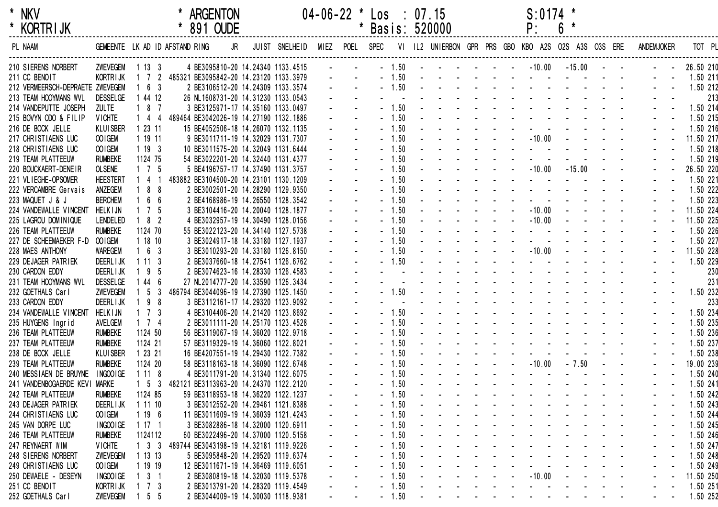| $\star$ | NKV             |  |
|---------|-----------------|--|
| *       | <b>KORTRIJK</b> |  |

| <b>KORIRIJK</b>                  |                 |                     |                                              | 891 OUDE |                                        |           | Basis: 520000 |      |  |                                                                                                                                                                                                                                                                                                                                                                                                                                                           | Ρ.                                                                                                                                                                                                                             | O            |            |               |                   |           |          |
|----------------------------------|-----------------|---------------------|----------------------------------------------|----------|----------------------------------------|-----------|---------------|------|--|-----------------------------------------------------------------------------------------------------------------------------------------------------------------------------------------------------------------------------------------------------------------------------------------------------------------------------------------------------------------------------------------------------------------------------------------------------------|--------------------------------------------------------------------------------------------------------------------------------------------------------------------------------------------------------------------------------|--------------|------------|---------------|-------------------|-----------|----------|
| PL NAAM                          |                 |                     | GEMEENTE LK AD ID AFSTAND RING               | JR       | JUIST SNELHEID                         | MIEZ POEL | SPEC          |      |  |                                                                                                                                                                                                                                                                                                                                                                                                                                                           | VI IL2 UNIERBON GPR PRS GBO KBO A2S O2S A3S O3S ERE                                                                                                                                                                            |              |            |               | <b>ANDEMJOKER</b> |           | TOT PL   |
| 210 SIERENS NORBERT              | ZWEVEGEM 1 13 3 |                     |                                              |          | 4 BE3095810-20 14.24340 1133.4515      |           | $-1.50$       |      |  |                                                                                                                                                                                                                                                                                                                                                                                                                                                           | $      10.00$                                                                                                                                                                                                                  | $-15.00 - -$ |            |               |                   | 26.50 210 |          |
| 211 CC BENOIT                    | KORTRIJK        |                     | 1 7 2 485321 BE3095842-20 14.23120 1133.3979 |          |                                        |           | $-1.50$       |      |  |                                                                                                                                                                                                                                                                                                                                                                                                                                                           | and a series of the series of the                                                                                                                                                                                              |              |            |               |                   | 1.50 211  |          |
| 212 VERMEERSCH-DEPRAETE ZWEVEGEM |                 | 6 3                 |                                              |          | 2 BE3106512-20 14.24309 1133.3574      |           | $-1.50$       |      |  |                                                                                                                                                                                                                                                                                                                                                                                                                                                           | the contract of the contract of the                                                                                                                                                                                            |              |            |               |                   | 1.50 212  |          |
| 213 TEAM HOOYMANS WVL            | <b>DESSELGE</b> | 1 44 12             |                                              |          | 26 NL1608731-20 14.31230 1133.0543     |           |               |      |  |                                                                                                                                                                                                                                                                                                                                                                                                                                                           | and a state of the state of the state                                                                                                                                                                                          |              |            |               |                   |           | 213      |
| 214 VANDEPUTTE JOSEPH            | <b>ZULTE</b>    | $187$               |                                              |          | 3 BE3125971-17 14.35160 1133.0497      |           | $-1.50$       |      |  |                                                                                                                                                                                                                                                                                                                                                                                                                                                           | the contract of the contract of the contract of                                                                                                                                                                                |              |            |               |                   | 1.50 214  |          |
| 215 BOVYN ODO & FILIP            | <b>VICHTE</b>   | $144$               |                                              |          | 489464 BE3042026-19 14.27190 1132.1886 |           | $-1.50$       |      |  |                                                                                                                                                                                                                                                                                                                                                                                                                                                           | design and a state of the state of the                                                                                                                                                                                         |              |            |               |                   | 1.50 215  |          |
| 216 DE BOCK JELLE                | <b>KLUISBER</b> | 12311               |                                              |          | 15 BE4052506-18 14.26070 1132.1135     |           | $-1.50$       |      |  |                                                                                                                                                                                                                                                                                                                                                                                                                                                           |                                                                                                                                                                                                                                |              |            |               |                   | 1.50 216  |          |
| 217 CHRISTIAENS LUC              | OOIGEM          | 1 19 11             |                                              |          | 9 BE3011711-19 14.32029 1131.7307      |           | $-1.50$       |      |  |                                                                                                                                                                                                                                                                                                                                                                                                                                                           | $   -10.00$                                                                                                                                                                                                                    |              |            |               |                   | 11.50 217 |          |
| 218 CHRISTIAENS LUC              | OOIGEM          | 1193                |                                              |          | 10 BE3011575-20 14.32049 1131.6444     |           | $-1.50$       |      |  |                                                                                                                                                                                                                                                                                                                                                                                                                                                           | $\Delta \phi = 0.01$                                                                                                                                                                                                           |              |            |               |                   | 1.50 218  |          |
| 219 TEAM PLATTEEUW               | <b>RUMBEKE</b>  | 1124 75             |                                              |          | 54 BE3022201-20 14.32440 1131.4377     |           | $-1.50$       |      |  |                                                                                                                                                                                                                                                                                                                                                                                                                                                           |                                                                                                                                                                                                                                |              |            |               |                   | 1.50 219  |          |
| 220 BOUCKAERT-DENEIR             | <b>OLSENE</b>   | $1 \quad 7 \quad 5$ |                                              |          | 5 BE4196757-17 14.37490 1131.3757      |           | $-1.50$       |      |  | $\mathcal{L}^{\mathcal{L}}(\mathcal{L}^{\mathcal{L}}(\mathcal{L}^{\mathcal{L}}(\mathcal{L}^{\mathcal{L}}(\mathcal{L}^{\mathcal{L}}(\mathcal{L}^{\mathcal{L}}(\mathcal{L}^{\mathcal{L}}(\mathcal{L}^{\mathcal{L}}(\mathcal{L}^{\mathcal{L}}(\mathcal{L}^{\mathcal{L}}(\mathcal{L}^{\mathcal{L}}(\mathcal{L}^{\mathcal{L}}(\mathcal{L}^{\mathcal{L}}(\mathcal{L}^{\mathcal{L}}(\mathcal{L}^{\mathcal{L}}(\mathcal{L}^{\mathcal{L}}(\mathcal{L}^{\mathcal{L$ | $-10.00$                                                                                                                                                                                                                       | $-15.00$     | $\sim 100$ | $\sim$ $\sim$ |                   | 26.50 220 |          |
| 221 VLIEGHE-OPSOMER              | <b>HEESTERT</b> | 4 1                 |                                              |          | 483882 BE3104500-20 14.23101 1130.1209 |           | $-1.50$       |      |  |                                                                                                                                                                                                                                                                                                                                                                                                                                                           | and the state of the                                                                                                                                                                                                           |              |            |               |                   | 1.50 221  |          |
| 222 VERCAMBRE Gervais            | ANZEGEM         | 88                  |                                              |          | 2 BE3002501-20 14.28290 1129.9350      |           | $-1.50$       |      |  |                                                                                                                                                                                                                                                                                                                                                                                                                                                           | and a strain and a strain and a                                                                                                                                                                                                |              |            |               |                   | 1.50 222  |          |
| 223 MAQUET J & J                 | <b>BERCHEM</b>  | 6 6                 |                                              |          | 2 BE4168986-19 14.26550 1128.3542      |           | $-1.50$       |      |  |                                                                                                                                                                                                                                                                                                                                                                                                                                                           | and a straight and a straight and                                                                                                                                                                                              |              |            |               |                   | 1.50 223  |          |
| 224 VANDEWALLE VINCENT           | <b>HELKIJN</b>  | $1 \quad 7 \quad 5$ |                                              |          | 3 BE3104416-20 14.20040 1128.1877      |           | $-1.50$       |      |  |                                                                                                                                                                                                                                                                                                                                                                                                                                                           | $-10.00$                                                                                                                                                                                                                       |              |            |               |                   | 11.50 224 |          |
| 225 LAGROU DOMINIQUE             | <b>LENDELED</b> | $182$               |                                              |          | 4 BE3032957-19 14.30490 1128.0156      |           | $-1.50$       |      |  |                                                                                                                                                                                                                                                                                                                                                                                                                                                           | $-10.00$                                                                                                                                                                                                                       |              |            |               |                   | 11.50 225 |          |
| 226 TEAM PLATTEEUW               | <b>RUMBEKE</b>  | 1124 70             |                                              |          | 55 BE3022123-20 14.34140 1127.5738     |           | $-1.50$       |      |  |                                                                                                                                                                                                                                                                                                                                                                                                                                                           | <b>Contract Contract</b>                                                                                                                                                                                                       |              |            |               |                   | 1.50 226  |          |
| 227 DE SCHEEMAEKER F-D OOIGEM    |                 | 11810               |                                              |          | 3 BE3024917-18 14.33180 1127.1937      |           | $-1.50$       |      |  |                                                                                                                                                                                                                                                                                                                                                                                                                                                           | <b>Contract Contract</b>                                                                                                                                                                                                       |              |            |               |                   | 1.50 227  |          |
| 228 MAES ANTHONY                 | <b>WAREGEM</b>  | $1\quad 6\quad 3$   |                                              |          | 3 BE3010293-20 14.33180 1126.8150      |           | $-1.50$       |      |  |                                                                                                                                                                                                                                                                                                                                                                                                                                                           | $   -10.00$                                                                                                                                                                                                                    |              |            |               |                   | 11.50 228 |          |
| 229 DEJAGER PATRIEK              | <b>DEERLIJK</b> | 1113                |                                              |          | 2 BE3037660-18 14.27541 1126.6762      |           | $-1.50$       |      |  |                                                                                                                                                                                                                                                                                                                                                                                                                                                           | and the state of the state                                                                                                                                                                                                     |              |            |               |                   | 1.50 229  |          |
| 230 CARDON EDDY                  | <b>DEERLIJK</b> | 9 5                 |                                              |          | 2 BE3074623-16 14.28330 1126.4583      |           |               |      |  |                                                                                                                                                                                                                                                                                                                                                                                                                                                           |                                                                                                                                                                                                                                |              |            |               |                   |           | 230      |
| 231 TEAM HOOYMANS WVL            | <b>DESSELGE</b> | 44 6                |                                              |          | 27 NL2014777-20 14.33590 1126.3434     |           |               |      |  |                                                                                                                                                                                                                                                                                                                                                                                                                                                           | and the second contract of the second contract of the second contract of the second contract of the second contract of the second contract of the second contract of the second contract of the second contract of the second  |              |            |               |                   |           | 231      |
| 232 GOETHALS Carl                | ZWEVEGEM        | 5 <sub>3</sub>      |                                              |          | 486794 BE3044096-19 14.27390 1125.1450 |           | $-1.50$       |      |  |                                                                                                                                                                                                                                                                                                                                                                                                                                                           | the contract of the contract of the                                                                                                                                                                                            |              |            |               |                   | 1.50 232  |          |
| 233 CARDON EDDY                  | <b>DEERLIJK</b> | 198                 |                                              |          | 3 BE3112161-17 14.29320 1123.9092      |           |               |      |  |                                                                                                                                                                                                                                                                                                                                                                                                                                                           | the contract of the contract of the con-                                                                                                                                                                                       |              |            |               |                   |           | 233      |
| 234 VANDEWALLE VINCENT           | <b>HELKIJN</b>  | $1 \quad 7 \quad 3$ |                                              |          | 4 BE3104406-20 14.21420 1123.8692      |           | $-1.50$       |      |  |                                                                                                                                                                                                                                                                                                                                                                                                                                                           | design and a state of the state of the                                                                                                                                                                                         |              |            |               |                   | 1.50 234  |          |
| 235 HUYGENS Ingrid               | AVELGEM         | $1 \quad 7 \quad 4$ |                                              |          | 2 BE3011111-20 14.25170 1123.4528      |           | $-1.50$       |      |  |                                                                                                                                                                                                                                                                                                                                                                                                                                                           | the contract of the contract of the contract of the contract of the contract of the contract of the contract of the contract of the contract of the contract of the contract of the contract of the contract of the contract o |              |            |               |                   | 1.50 235  |          |
| 236 TEAM PLATTEEUW               | <b>RUMBEKE</b>  | 1124 50             |                                              |          | 56 BE3119067-19 14.36020 1122.9718     |           | $-1.50$       |      |  |                                                                                                                                                                                                                                                                                                                                                                                                                                                           | and a series of the series of the series                                                                                                                                                                                       |              |            |               |                   | 1.50 236  |          |
| 237 TEAM PLATTEEUW               | <b>RUMBEKE</b>  | 1124 21             |                                              |          | 57 BE3119329-19 14.36060 1122.8021     |           | $-1.50$       |      |  |                                                                                                                                                                                                                                                                                                                                                                                                                                                           | and a series of the series of the series                                                                                                                                                                                       |              |            |               |                   | 1.50 237  |          |
| 238 DE BOCK JELLE                | <b>KLUISBER</b> | 1 23 21             |                                              |          | 16 BE4207551-19 14.29430 1122.7382     |           | $-1.50$       |      |  |                                                                                                                                                                                                                                                                                                                                                                                                                                                           |                                                                                                                                                                                                                                |              |            |               |                   | 1.50 238  |          |
| 239 TEAM PLATTEEUW               | <b>RUMBEKE</b>  | 1124 20             |                                              |          | 58 BE3118163-18 14.36090 1122.6748     |           | $-1.50$       |      |  |                                                                                                                                                                                                                                                                                                                                                                                                                                                           | $   -10.00$                                                                                                                                                                                                                    | $-7.50$      | $\sim 100$ | $\sim$        |                   | 19.00 239 |          |
| 240 MESSIAEN DE BRUYNE           | INGOOIGE        | 1118                |                                              |          | 4 BE3011791-20 14.31340 1122.6075      |           | $-1.50$       |      |  |                                                                                                                                                                                                                                                                                                                                                                                                                                                           | and a straight and a straight                                                                                                                                                                                                  |              |            |               |                   | 1.50 240  |          |
| 241 VANDENBOGAERDE KEVI MARKE    |                 | $1\quad5\quad3$     |                                              |          | 482121 BE3113963-20 14.24370 1122.2120 |           | $-1.50$       |      |  |                                                                                                                                                                                                                                                                                                                                                                                                                                                           | and a strain and a strain and a                                                                                                                                                                                                |              |            |               |                   | 1.50 241  |          |
| 242 TEAM PLATTEEUW               | <b>RUMBEKE</b>  | 1124 85             |                                              |          | 59 BE3118953-18 14.36220 1122.1237     |           | $-1.50$       |      |  |                                                                                                                                                                                                                                                                                                                                                                                                                                                           | <u>.</u>                                                                                                                                                                                                                       |              |            |               |                   |           | 1.50 242 |
| 243 DEJAGER PATRIEK              | <b>DEERLIJK</b> | 1 11 10             |                                              |          | 3 BE3012552-20 14.29461 1121.8388      |           | $-1.50$       |      |  |                                                                                                                                                                                                                                                                                                                                                                                                                                                           |                                                                                                                                                                                                                                |              |            |               |                   | 1.50 243  |          |
| 244 CHRISTIAENS LUC              | OO IGEM         | 1196                |                                              |          | 11 BE3011609-19 14.36039 1121.4243     |           | $-1.50$       |      |  |                                                                                                                                                                                                                                                                                                                                                                                                                                                           |                                                                                                                                                                                                                                |              |            |               |                   | 1.50 244  |          |
| 245 VAN DORPE LUC                | INGOOIGE        | 1171                |                                              |          | 3 BE3082886-18 14.32000 1120.6911      |           | $-1.50$       |      |  |                                                                                                                                                                                                                                                                                                                                                                                                                                                           |                                                                                                                                                                                                                                |              |            |               |                   | 1.50 245  |          |
| 246 TEAM PLATTEEUW               | <b>RUMBEKE</b>  | 1124112             |                                              |          | 60 BE3022496-20 14.37000 1120.5158     |           | $-1.50$       |      |  |                                                                                                                                                                                                                                                                                                                                                                                                                                                           | and a series of the contract of the                                                                                                                                                                                            |              |            |               |                   | 1.50 246  |          |
| 247 REYNAERT WIM                 | <b>VICHTE</b>   | $1 \quad 3 \quad 3$ |                                              |          | 489744 BE3043198-19 14.32181 1119.9226 |           | $-1.50$       |      |  |                                                                                                                                                                                                                                                                                                                                                                                                                                                           | والمناول والمناول والمناول والمناول                                                                                                                                                                                            |              |            |               |                   | 1.50 247  |          |
| 248 SIERENS NORBERT              | ZWEVEGEM        | 11313               |                                              |          | 5 BE3095848-20 14.29520 1119.6374      |           | $-1.50$       |      |  |                                                                                                                                                                                                                                                                                                                                                                                                                                                           | and the company of the second company                                                                                                                                                                                          |              |            |               |                   | 1.50 248  |          |
| 249 CHRISTIAENS LUC              | OOIGEM          | 1 19 19             |                                              |          | 12 BE3011671-19 14.36469 1119.6051     |           | $-1.50$       |      |  |                                                                                                                                                                                                                                                                                                                                                                                                                                                           | design and a state of the state                                                                                                                                                                                                |              |            |               |                   | 1.50 249  |          |
| 250 DEWAELE - DESEYN             | INGOOIGE        | $3 \quad 1$         |                                              |          | 2 BE3080819-18 14.32030 1119.5378      |           |               | 1.50 |  |                                                                                                                                                                                                                                                                                                                                                                                                                                                           | $     10.00$ $   -$                                                                                                                                                                                                            |              |            |               |                   | 11.50 250 |          |
| 251 CC BENOIT                    | <b>KORTRIJK</b> | 7 3                 |                                              |          | 2 BE3013791-20 14.28320 1119.4549      |           |               | 1.50 |  |                                                                                                                                                                                                                                                                                                                                                                                                                                                           | $\sim$ $\sim$                                                                                                                                                                                                                  |              |            |               |                   | 1.50 251  |          |
| 252 GOETHALS Carl                | ZWEVEGEM        | $1\quad5\quad5$     |                                              |          | 2 BE3044009-19 14.30030 1118.9381      |           | $-1.50$       |      |  |                                                                                                                                                                                                                                                                                                                                                                                                                                                           | $\sim 100$                                                                                                                                                                                                                     |              |            |               |                   | 1.50 252  |          |
|                                  |                 |                     |                                              |          |                                        |           |               |      |  |                                                                                                                                                                                                                                                                                                                                                                                                                                                           |                                                                                                                                                                                                                                |              |            |               |                   |           |          |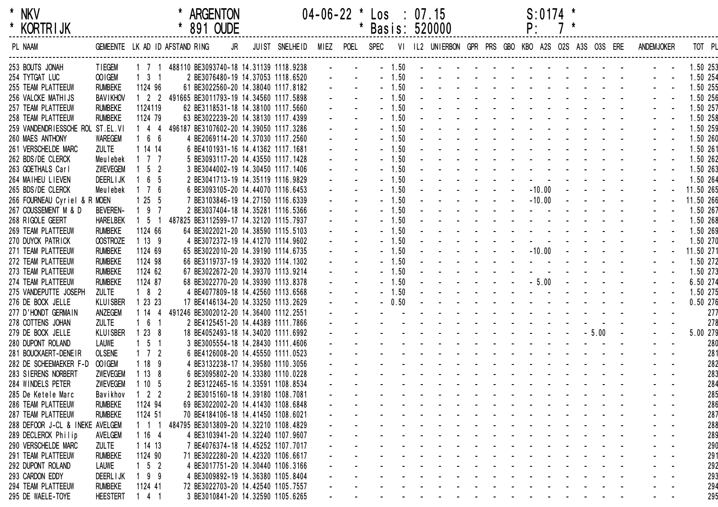| $\star$ | NKV             |  |
|---------|-----------------|--|
| $\star$ | <b>KORTRIJK</b> |  |

| <b>KORIRIJK</b>                  |                 |                                | 891 OUDE                                     |    |                |                |         | Basis: 520000                                                                                                   |                                                 |  | Ρ.                                                                                                              |  |         |                  |                                                                |           |     |
|----------------------------------|-----------------|--------------------------------|----------------------------------------------|----|----------------|----------------|---------|-----------------------------------------------------------------------------------------------------------------|-------------------------------------------------|--|-----------------------------------------------------------------------------------------------------------------|--|---------|------------------|----------------------------------------------------------------|-----------|-----|
| PL NAAM                          |                 | GEMEENTE LK AD ID AFSTAND RING |                                              | JR | JUIST SNELHEID | MIEZ POEL SPEC |         |                                                                                                                 |                                                 |  |                                                                                                                 |  |         |                  | VI IL2 UNIERBON GPR PRS GBO KBO A2S O2S A3S O3S ERE ANDEMJOKER | TOT PL    |     |
| 253 BOUTS JONAH                  | <b>TIEGEM</b>   |                                | 1 7 1 488110 BE3093740-18 14.31139 1118.9238 |    |                |                | $-1.50$ | and the second contract of the second second                                                                    |                                                 |  |                                                                                                                 |  |         |                  |                                                                | 1.50 253  |     |
| 254 TYTGAT LUC                   | OO IGEM         | $1 \quad 3 \quad 1$            | 2 BE3076480-19 14.37053 1118.6520            |    |                |                | $-1.50$ | design and a state of the state of the                                                                          |                                                 |  |                                                                                                                 |  |         |                  |                                                                | 1.50 254  |     |
| 255 TEAM PLATTEEUW               | <b>RUMBEKE</b>  | 1124 96                        | 61 BE3022560-20 14.38040 1117.8182           |    |                |                | $-1.50$ | and the contract of the contract of the                                                                         |                                                 |  |                                                                                                                 |  |         |                  |                                                                | 1.50 255  |     |
| 256 VALCKE MATHIJS               | <b>BAVIKHOV</b> |                                | 1 2 2 491665 BE3011793-19 14.34560 1117.5898 |    |                |                | $-1.50$ | and a series of the contract of the                                                                             |                                                 |  |                                                                                                                 |  |         |                  |                                                                | 1.50 256  |     |
| 257 TEAM PLATTEEUW               | <b>RUMBEKE</b>  | 1124119                        | 62 BE3118531-18 14.38100 1117.5660           |    |                |                | $-1.50$ |                                                                                                                 | the contract of the contract of the             |  |                                                                                                                 |  |         |                  |                                                                | 1.50 257  |     |
| 258 TEAM PLATTEEUW               | <b>RUMBEKE</b>  | 1124 79                        | 63 BE3022239-20 14.38130 1117.4399           |    |                |                | $-1.50$ |                                                                                                                 | the contract of the contract of the con-        |  |                                                                                                                 |  |         |                  |                                                                | 1.50 258  |     |
| 259 VANDENDRIESSCHE ROL ST.EL.VI |                 |                                | 1 4 4 496187 BE3107602-20 14.39050 1117.3286 |    |                |                | $-1.50$ |                                                                                                                 | the contract of the contract of the contract of |  |                                                                                                                 |  |         |                  |                                                                | 1.50 259  |     |
| 260 MAES ANTHONY                 | <b>WAREGEM</b>  | 166                            | 4 BE2069114-20 14.37030 1117.2560            |    |                |                | $-1.50$ |                                                                                                                 | the contract of the contract of the con-        |  |                                                                                                                 |  |         |                  |                                                                | 1.50 260  |     |
| 261 VERSCHELDE MARC              | <b>ZULTE</b>    | 1 14 14                        | 6 BE4101931-16 14.41362 1117.1681            |    |                |                | $-1.50$ |                                                                                                                 | the contract of the contract of the contract of |  |                                                                                                                 |  |         |                  |                                                                | 1.50 261  |     |
| 262 BDS/DE CLERCK                | Meulebek        | $1 \t1 \t1$                    | 5 BE3093117-20 14.43550 1117.1428            |    |                |                | $-1.50$ |                                                                                                                 | the contract of the contract of the contract of |  |                                                                                                                 |  |         |                  |                                                                | 1.50 262  |     |
| 263 GOETHALS Carl                | <b>ZWEVEGEM</b> | $1\quad 5\quad 2$              | 3 BE3044002-19 14.30450 1117.1406            |    |                |                | $-1.50$ |                                                                                                                 | the contract of the contract of the contract of |  |                                                                                                                 |  |         |                  |                                                                | 1.50 263  |     |
| 264 MAIHEU LIEVEN                | <b>DEERLIJK</b> | $1\quad 6\quad 5$              | 2 BE3041713-19 14.35119 1116.9829            |    |                |                | $-1.50$ |                                                                                                                 | the contract of the contract of the             |  |                                                                                                                 |  |         |                  |                                                                | 1.50 264  |     |
| 265 BDS/DE CLERCK                | Meulebek        | 7 6                            | 6 BE3093105-20 14.44070 1116.6453            |    |                |                | $-1.50$ |                                                                                                                 | $     10.00$ $   -$                             |  |                                                                                                                 |  |         |                  |                                                                | 11.50 265 |     |
| 266 FOURNEAU Cyriel & R MOEN     |                 | 1255                           | 7 BE3103846-19 14.27150 1116.6339            |    |                |                | $-1.50$ |                                                                                                                 | $    -10.00$ $-$                                |  |                                                                                                                 |  |         |                  |                                                                | 11.50 266 |     |
| 267 COUSSEMENT M & D             | <b>BEVEREN-</b> | $197$                          | 2 BE3037404-18 14.35281 1116.5366            |    |                |                | $-1.50$ |                                                                                                                 | the contract of the contract of the con-        |  |                                                                                                                 |  |         |                  |                                                                | 1.50 267  |     |
| 268 RIGOLE GEERT                 | <b>HARELBEK</b> | $1\quad 5\quad 1$              | 487825 BE3112599-17 14.32120 1115.7937       |    |                |                | $-1.50$ |                                                                                                                 | the contract of the contract of the con-        |  |                                                                                                                 |  |         |                  |                                                                | 1.50 268  |     |
| 269 TEAM PLATTEEUW               | <b>RUMBEKE</b>  | 1124 66                        | 64 BE3022021-20 14.38590 1115.5103           |    |                |                | $-1.50$ |                                                                                                                 | the contract of the contract of the contract of |  |                                                                                                                 |  |         |                  |                                                                | 1.50 269  |     |
| 270 DUYCK PATRICK                | <b>OOSTROZE</b> | 1139                           | 4 BE3072372-19 14.41270 1114.9602            |    |                |                | $-1.50$ |                                                                                                                 | the contract of the contract of the con-        |  |                                                                                                                 |  |         |                  |                                                                | 1.50 270  |     |
| 271 TEAM PLATTEEUW               | <b>RUMBEKE</b>  | 1124 69                        | 65 BE3022010-20 14.39190 1114.6735           |    |                |                | $-1.50$ |                                                                                                                 | $      10.00$ $    -$                           |  |                                                                                                                 |  |         |                  |                                                                | 11.50 271 |     |
| 272 TEAM PLATTEEUW               | <b>RUMBEKE</b>  | 1124 98                        | 66 BE3119737-19 14.39320 1114.1302           |    |                |                | $-1.50$ |                                                                                                                 | the contract of the contract of the con-        |  |                                                                                                                 |  |         |                  |                                                                | 1.50 272  |     |
| 273 TEAM PLATTEEUW               | <b>RUMBEKE</b>  | 1124 62                        | 67 BE3022672-20 14.39370 1113.9214           |    |                |                | $-1.50$ | and the second contract of the second                                                                           |                                                 |  |                                                                                                                 |  |         |                  |                                                                | 1.50 273  |     |
| 274 TEAM PLATTEEUW               | <b>RUMBEKE</b>  | 1124 87                        | 68 BE3022770-20 14.39390 1113.8378           |    |                |                | $-1.50$ |                                                                                                                 | $     5.00$ $   -$                              |  |                                                                                                                 |  |         |                  |                                                                | 6.50 274  |     |
| 275 VANDEPUTTE JOSEPH            | <b>ZULTE</b>    | $182$                          | 4 BE4077809-18 14.42560 1113.6568            |    |                |                | $-1.50$ | and a series of the contract of the series                                                                      |                                                 |  |                                                                                                                 |  |         |                  |                                                                | 1.50 275  |     |
| 276 DE BOCK JELLE                | <b>KLUISBER</b> | 1 23 23                        | 17 BE4146134-20 14.33250 1113.2629           |    |                |                | $-0.50$ | and a state of the state of the state of                                                                        |                                                 |  |                                                                                                                 |  |         |                  |                                                                | 0.50 276  |     |
| 277 D'HONDT GERMAIN              | ANZEGEM         | 1144                           | 491246 BE3002012-20 14.36400 1112.2551       |    |                |                |         | the contract of the contract of the contract of the contract of the contract of the contract of the contract of |                                                 |  |                                                                                                                 |  |         |                  |                                                                |           | 277 |
| 278 COTTENS JOHAN                | <b>ZULTE</b>    | 161                            | 2 BE4125451-20 14.44389 1111.7866            |    |                |                |         | and a strain and a strain and a                                                                                 |                                                 |  |                                                                                                                 |  |         |                  |                                                                |           | 278 |
| 279 DE BOCK JELLE                | <b>KLUISBER</b> | 1238                           | 18 BE4052493-18 14.34020 1111.6992           |    |                |                |         | design and a state of the state of the                                                                          |                                                 |  |                                                                                                                 |  | $-5.00$ | $\sim$ 100 $\pm$ |                                                                | 5.00 279  |     |
| 280 DUPONT ROLAND                | <b>LAUWE</b>    | $1\quad5\quad1$                | 3 BE3005554-18 14.28430 1111.4606            |    |                |                |         | and a straightful and a straight and                                                                            |                                                 |  |                                                                                                                 |  |         |                  |                                                                |           | 280 |
| 281 BOUCKAERT-DENEIR             | <b>OLSENE</b>   | $1 \quad 7 \quad 2$            | 6 BE4126008-20 14.45550 1111.0523            |    |                |                |         | and a series of the contract of the series of                                                                   |                                                 |  |                                                                                                                 |  |         |                  |                                                                |           | 281 |
| 282 DE SCHEEMAEKER F-D OOIGEM    |                 | 1189                           | 4 BE3132238-17 14.39580 1110.3056            |    |                |                |         | and a series of the contract of the series of                                                                   |                                                 |  |                                                                                                                 |  |         |                  |                                                                |           | 282 |
| 283 SIERENS NORBERT              | ZWEVEGEM        | 1138                           | 6 BE3095802-20 14.33380 1110.0228            |    |                |                |         | and a series of the contract of the series of the                                                               |                                                 |  |                                                                                                                 |  |         |                  |                                                                |           | 283 |
| 284 WINDELS PETER                | ZWEVEGEM        | 1105                           | 2 BE3122465-16 14.33591 1108.8534            |    |                |                |         |                                                                                                                 |                                                 |  |                                                                                                                 |  |         |                  |                                                                |           | 284 |
| 285 De Ketele Marc               | Bavikhov        | $1 \quad 2 \quad 2$            | 2 BE3015160-18 14.39180 1108.7081            |    |                |                |         |                                                                                                                 |                                                 |  | the contract of the contract of the contract of the contract of the contract of the contract of the contract of |  |         |                  |                                                                |           | 285 |
| 286 TEAM PLATTEEUW               | <b>RUMBEKE</b>  | 1124 94                        | 69 BE3022002-20 14.41430 1108.6848           |    |                |                |         |                                                                                                                 |                                                 |  |                                                                                                                 |  |         |                  |                                                                |           | 286 |
| 287 TEAM PLATTEEUW               | <b>RUMBEKE</b>  | 1124 51                        | 70 BE4184106-18 14.41450 1108.6021           |    |                |                |         |                                                                                                                 |                                                 |  |                                                                                                                 |  |         |                  |                                                                |           | 287 |
| 288 DEFOOR J-CL & INEKE AVELGEM  |                 | $1 \t1 \t1$                    | 484795 BE3013809-20 14.32210 1108.4829       |    |                |                |         |                                                                                                                 |                                                 |  |                                                                                                                 |  |         |                  |                                                                |           | 288 |
| 289 DECLERCK Philip              | AVELGEM         | 1164                           | 4 BE3103941-20 14.32240 1107.9607            |    |                |                |         |                                                                                                                 |                                                 |  |                                                                                                                 |  |         |                  |                                                                |           | 289 |
| 290 VERSCHELDE MARC              | <b>ZULTE</b>    | 1 14 13                        | 7 BE4076374-18 14.45252 1107.7017            |    |                |                |         |                                                                                                                 |                                                 |  |                                                                                                                 |  |         |                  |                                                                |           | 290 |
| 291 TEAM PLATTEEUW               | <b>RUMBEKE</b>  | 1124 90                        | 71 BE3022280-20 14.42320 1106.6617           |    |                |                |         |                                                                                                                 |                                                 |  |                                                                                                                 |  |         |                  |                                                                |           |     |
|                                  | <b>LAUWE</b>    | $1\quad 5\quad 2$              | 4 BE3017751-20 14.30440 1106.3166            |    |                |                |         |                                                                                                                 |                                                 |  |                                                                                                                 |  |         |                  |                                                                |           | 291 |
| 292 DUPONT ROLAND                |                 |                                |                                              |    |                |                |         |                                                                                                                 |                                                 |  |                                                                                                                 |  |         |                  |                                                                |           | 292 |
| 293 CARDON EDDY                  | <b>DEERLIJK</b> | $199$                          | 4 BE3009892-19 14.36380 1105.8404            |    |                |                |         |                                                                                                                 |                                                 |  |                                                                                                                 |  |         |                  |                                                                |           | 293 |
| 294 TEAM PLATTEEUW               | <b>RUMBEKE</b>  | 1124 41                        | 72 BE3022703-20 14.42540 1105.7557           |    |                |                |         |                                                                                                                 |                                                 |  |                                                                                                                 |  |         |                  |                                                                |           | 294 |
| 295 DE WAELE-TOYE                | <b>HEESTERT</b> | $141$                          | 3 BE3010841-20 14.32590 1105.6265            |    |                |                |         |                                                                                                                 |                                                 |  |                                                                                                                 |  |         |                  |                                                                |           | 295 |